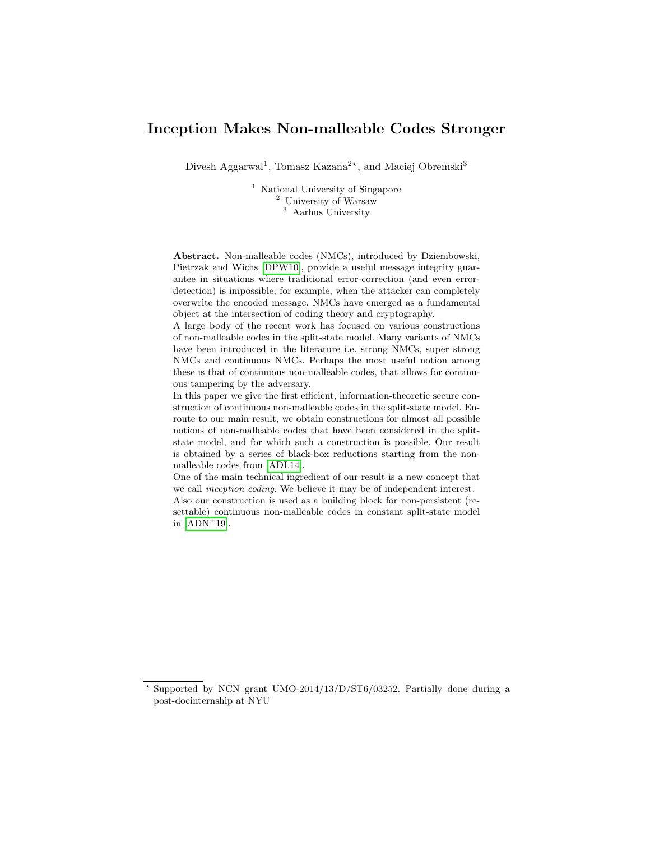# Inception Makes Non-malleable Codes Stronger

Divesh Aggarwal<sup>1</sup>, Tomasz Kazana<sup>2\*</sup>, and Maciej Obremski<sup>3</sup>

<sup>1</sup> National University of Singapore <sup>2</sup> University of Warsaw <sup>3</sup> Aarhus University

Abstract. Non-malleable codes (NMCs), introduced by Dziembowski, Pietrzak and Wichs [\[DPW10\]](#page-23-0), provide a useful message integrity guarantee in situations where traditional error-correction (and even errordetection) is impossible; for example, when the attacker can completely overwrite the encoded message. NMCs have emerged as a fundamental object at the intersection of coding theory and cryptography.

A large body of the recent work has focused on various constructions of non-malleable codes in the split-state model. Many variants of NMCs have been introduced in the literature i.e. strong NMCs, super strong NMCs and continuous NMCs. Perhaps the most useful notion among these is that of continuous non-malleable codes, that allows for continuous tampering by the adversary.

In this paper we give the first efficient, information-theoretic secure construction of continuous non-malleable codes in the split-state model. Enroute to our main result, we obtain constructions for almost all possible notions of non-malleable codes that have been considered in the splitstate model, and for which such a construction is possible. Our result is obtained by a series of black-box reductions starting from the nonmalleable codes from [\[ADL14\]](#page-22-0).

One of the main technical ingredient of our result is a new concept that we call inception coding. We believe it may be of independent interest. Also our construction is used as a building block for non-persistent (resettable) continuous non-malleable codes in constant split-state model in  $[ADN+19]$  $[ADN+19]$ .

<sup>?</sup> Supported by NCN grant UMO-2014/13/D/ST6/03252. Partially done during a post-docinternship at NYU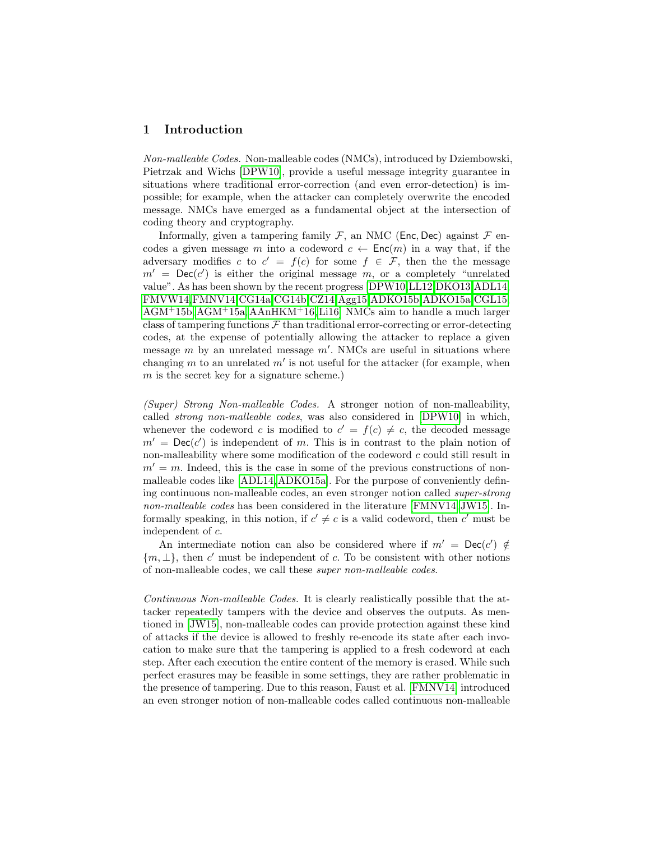#### 1 Introduction

Non-malleable Codes. Non-malleable codes (NMCs), introduced by Dziembowski, Pietrzak and Wichs [\[DPW10\]](#page-23-0), provide a useful message integrity guarantee in situations where traditional error-correction (and even error-detection) is impossible; for example, when the attacker can completely overwrite the encoded message. NMCs have emerged as a fundamental object at the intersection of coding theory and cryptography.

Informally, given a tampering family  $\mathcal F$ , an NMC (Enc, Dec) against  $\mathcal F$  encodes a given message m into a codeword  $c \leftarrow \mathsf{Enc}(m)$  in a way that, if the adversary modifies c to  $c' = f(c)$  for some  $f \in \mathcal{F}$ , then the the message  $m'$  = Dec(c') is either the original message m, or a completely "unrelated value". As has been shown by the recent progress [\[DPW10,](#page-23-0)[LL12,](#page-24-0)[DKO13,](#page-23-1)[ADL14,](#page-22-0) [FMVW14,](#page-24-1)[FMNV14,](#page-23-2)[CG14a,](#page-23-3)[CG14b,](#page-23-4)[CZ14](#page-23-5)[,Agg15,](#page-22-2)[ADKO15b,](#page-22-3)[ADKO15a,](#page-22-4)[CGL15,](#page-23-6) [AGM](#page-23-7)+15b, [AGM](#page-23-8)+15a, [AAnHKM](#page-22-5)+16[, Li16\]](#page-24-2) NMCs aim to handle a much larger class of tampering functions  $\mathcal F$  than traditional error-correcting or error-detecting codes, at the expense of potentially allowing the attacker to replace a given message  $m$  by an unrelated message  $m'$ . NMCs are useful in situations where changing  $m$  to an unrelated  $m'$  is not useful for the attacker (for example, when m is the secret key for a signature scheme.)

(Super) Strong Non-malleable Codes. A stronger notion of non-malleability, called strong non-malleable codes, was also considered in [\[DPW10\]](#page-23-0) in which, whenever the codeword c is modified to  $c' = f(c) \neq c$ , the decoded message  $m' = \textsf{Dec}(c')$  is independent of m. This is in contrast to the plain notion of non-malleability where some modification of the codeword  $c$  could still result in  $m' = m$ . Indeed, this is the case in some of the previous constructions of nonmalleable codes like [\[ADL14,](#page-22-0)[ADKO15a\]](#page-22-4). For the purpose of conveniently defining continuous non-malleable codes, an even stronger notion called super-strong non-malleable codes has been considered in the literature [\[FMNV14,](#page-23-2) [JW15\]](#page-24-3). Informally speaking, in this notion, if  $c' \neq c$  is a valid codeword, then c' must be independent of c.

An intermediate notion can also be considered where if  $m' = \mathsf{Dec}(c') \notin$  ${m, \perp}$ , then c' must be independent of c. To be consistent with other notions of non-malleable codes, we call these super non-malleable codes.

Continuous Non-malleable Codes. It is clearly realistically possible that the attacker repeatedly tampers with the device and observes the outputs. As mentioned in [\[JW15\]](#page-24-3), non-malleable codes can provide protection against these kind of attacks if the device is allowed to freshly re-encode its state after each invocation to make sure that the tampering is applied to a fresh codeword at each step. After each execution the entire content of the memory is erased. While such perfect erasures may be feasible in some settings, they are rather problematic in the presence of tampering. Due to this reason, Faust et al. [\[FMNV14\]](#page-23-2) introduced an even stronger notion of non-malleable codes called continuous non-malleable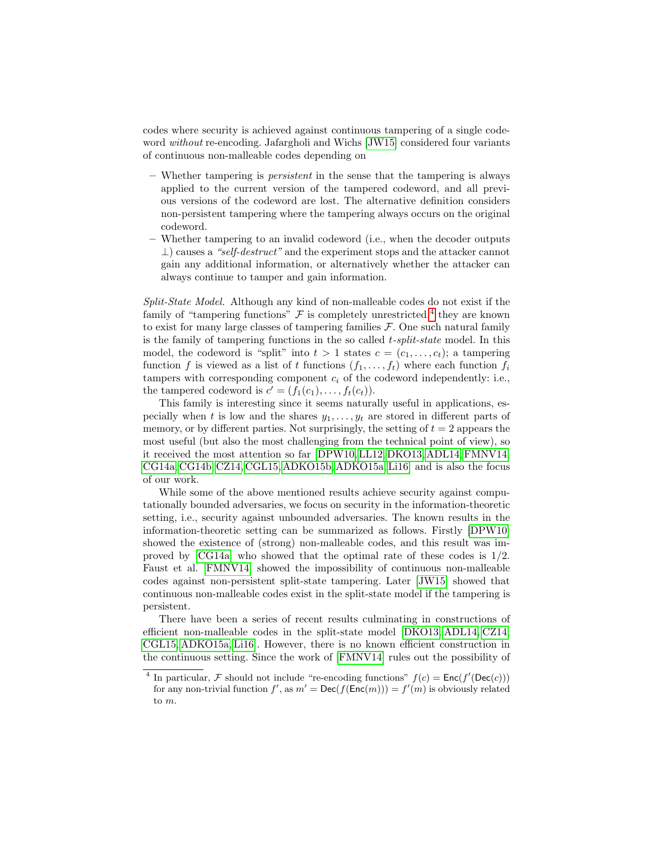codes where security is achieved against continuous tampering of a single codeword without re-encoding. Jafargholi and Wichs [\[JW15\]](#page-24-3) considered four variants of continuous non-malleable codes depending on

- Whether tampering is persistent in the sense that the tampering is always applied to the current version of the tampered codeword, and all previous versions of the codeword are lost. The alternative definition considers non-persistent tampering where the tampering always occurs on the original codeword.
- Whether tampering to an invalid codeword (i.e., when the decoder outputs  $\perp$ ) causes a "self-destruct" and the experiment stops and the attacker cannot gain any additional information, or alternatively whether the attacker can always continue to tamper and gain information.

Split-State Model. Although any kind of non-malleable codes do not exist if the family of "tampering functions"  $\mathcal F$  is completely unrestricted,<sup>[4](#page-2-0)</sup> they are known to exist for many large classes of tampering families  $F$ . One such natural family is the family of tampering functions in the so called  $t$ -split-state model. In this model, the codeword is "split" into  $t > 1$  states  $c = (c_1, \ldots, c_t)$ ; a tampering function f is viewed as a list of t functions  $(f_1, \ldots, f_t)$  where each function  $f_i$ tampers with corresponding component  $c_i$  of the codeword independently: i.e., the tampered codeword is  $c' = (f_1(c_1), \ldots, f_t(c_t)).$ 

This family is interesting since it seems naturally useful in applications, especially when t is low and the shares  $y_1, \ldots, y_t$  are stored in different parts of memory, or by different parties. Not surprisingly, the setting of  $t = 2$  appears the most useful (but also the most challenging from the technical point of view), so it received the most attention so far [\[DPW10,](#page-23-0) [LL12,](#page-24-0) [DKO13,](#page-23-1) [ADL14,](#page-22-0) [FMNV14,](#page-23-2) [CG14a,](#page-23-3) [CG14b,](#page-23-4) [CZ14,](#page-23-5) [CGL15,](#page-23-6) [ADKO15b,](#page-22-3) [ADKO15a,](#page-22-4) [Li16\]](#page-24-2) and is also the focus of our work.

While some of the above mentioned results achieve security against computationally bounded adversaries, we focus on security in the information-theoretic setting, i.e., security against unbounded adversaries. The known results in the information-theoretic setting can be summarized as follows. Firstly [\[DPW10\]](#page-23-0) showed the existence of (strong) non-malleable codes, and this result was improved by [\[CG14a\]](#page-23-3) who showed that the optimal rate of these codes is 1/2. Faust et al. [\[FMNV14\]](#page-23-2) showed the impossibility of continuous non-malleable codes against non-persistent split-state tampering. Later [\[JW15\]](#page-24-3) showed that continuous non-malleable codes exist in the split-state model if the tampering is persistent.

There have been a series of recent results culminating in constructions of efficient non-malleable codes in the split-state model [\[DKO13,](#page-23-1) [ADL14,](#page-22-0) [CZ14,](#page-23-5) [CGL15,](#page-23-6) [ADKO15a,](#page-22-4) [Li16\]](#page-24-2). However, there is no known efficient construction in the continuous setting. Since the work of [\[FMNV14\]](#page-23-2) rules out the possibility of

<span id="page-2-0"></span><sup>&</sup>lt;sup>4</sup> In particular, *F* should not include "re-encoding functions"  $f(c) = \text{Enc}(f'(\text{Dec}(c)))$ for any non-trivial function  $f'$ , as  $m' = \text{Dec}(f(\text{Enc}(m))) = f'(m)$  is obviously related to m.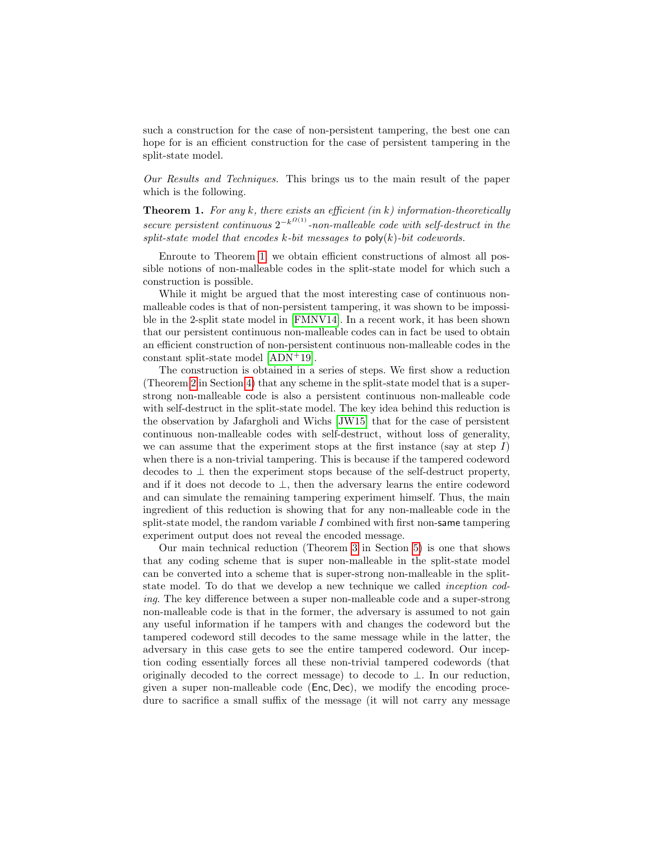such a construction for the case of non-persistent tampering, the best one can hope for is an efficient construction for the case of persistent tampering in the split-state model.

<span id="page-3-0"></span>Our Results and Techniques. This brings us to the main result of the paper which is the following.

**Theorem 1.** For any k, there exists an efficient (in k) information-theoretically secure persistent continuous  $2^{-k^{\Omega(1)}}$ -non-malleable code with self-destruct in the split-state model that encodes k-bit messages to  $poly(k)$ -bit codewords.

Enroute to Theorem [1,](#page-3-0) we obtain efficient constructions of almost all possible notions of non-malleable codes in the split-state model for which such a construction is possible.

While it might be argued that the most interesting case of continuous nonmalleable codes is that of non-persistent tampering, it was shown to be impossible in the 2-split state model in [\[FMNV14\]](#page-23-2). In a recent work, it has been shown that our persistent continuous non-malleable codes can in fact be used to obtain an efficient construction of non-persistent continuous non-malleable codes in the constant split-state model [\[ADN](#page-22-1)+19].

The construction is obtained in a series of steps. We first show a reduction (Theorem [2](#page-9-0) in Section [4\)](#page-9-1) that any scheme in the split-state model that is a superstrong non-malleable code is also a persistent continuous non-malleable code with self-destruct in the split-state model. The key idea behind this reduction is the observation by Jafargholi and Wichs [\[JW15\]](#page-24-3) that for the case of persistent continuous non-malleable codes with self-destruct, without loss of generality, we can assume that the experiment stops at the first instance (say at step  $I$ ) when there is a non-trivial tampering. This is because if the tampered codeword decodes to  $\perp$  then the experiment stops because of the self-destruct property, and if it does not decode to  $\perp$ , then the adversary learns the entire codeword and can simulate the remaining tampering experiment himself. Thus, the main ingredient of this reduction is showing that for any non-malleable code in the split-state model, the random variable  $I$  combined with first non-same tampering experiment output does not reveal the encoded message.

Our main technical reduction (Theorem [3](#page-16-0) in Section [5\)](#page-13-0) is one that shows that any coding scheme that is super non-malleable in the split-state model can be converted into a scheme that is super-strong non-malleable in the splitstate model. To do that we develop a new technique we called inception coding. The key difference between a super non-malleable code and a super-strong non-malleable code is that in the former, the adversary is assumed to not gain any useful information if he tampers with and changes the codeword but the tampered codeword still decodes to the same message while in the latter, the adversary in this case gets to see the entire tampered codeword. Our inception coding essentially forces all these non-trivial tampered codewords (that originally decoded to the correct message) to decode to  $\perp$ . In our reduction, given a super non-malleable code (Enc, Dec), we modify the encoding procedure to sacrifice a small suffix of the message (it will not carry any message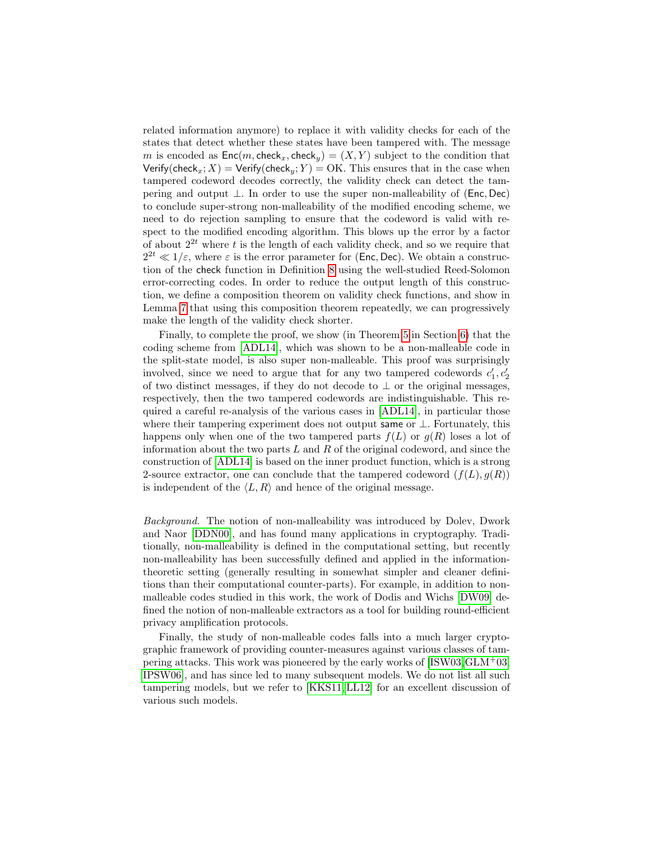related information anymore) to replace it with validity checks for each of the states that detect whether these states have been tampered with. The message m is encoded as  $Enc(m, check_x, check_y) = (X, Y)$  subject to the condition that Verify(check<sub>x</sub>; X) = Verify(check<sub>y</sub>; Y) = OK. This ensures that in the case when tampered codeword decodes correctly, the validity check can detect the tampering and output ⊥. In order to use the super non-malleability of (Enc, Dec) to conclude super-strong non-malleability of the modified encoding scheme, we need to do rejection sampling to ensure that the codeword is valid with respect to the modified encoding algorithm. This blows up the error by a factor of about  $2^{2t}$  where t is the length of each validity check, and so we require that  $2^{2t} \ll 1/\varepsilon$ , where  $\varepsilon$  is the error parameter for (Enc, Dec). We obtain a construction of the check function in Definition [8](#page-13-1) using the well-studied Reed-Solomon error-correcting codes. In order to reduce the output length of this construction, we define a composition theorem on validity check functions, and show in Lemma [7](#page-14-0) that using this composition theorem repeatedly, we can progressively make the length of the validity check shorter.

Finally, to complete the proof, we show (in Theorem [5](#page-19-0) in Section [6\)](#page-18-0) that the coding scheme from [\[ADL14\]](#page-22-0), which was shown to be a non-malleable code in the split-state model, is also super non-malleable. This proof was surprisingly involved, since we need to argue that for any two tampered codewords  $c'_1, c'_2$ of two distinct messages, if they do not decode to  $\perp$  or the original messages, respectively, then the two tampered codewords are indistinguishable. This required a careful re-analysis of the various cases in [\[ADL14\]](#page-22-0), in particular those where their tampering experiment does not output same or  $\perp$ . Fortunately, this happens only when one of the two tampered parts  $f(L)$  or  $g(R)$  loses a lot of information about the two parts  $L$  and  $R$  of the original codeword, and since the construction of [\[ADL14\]](#page-22-0) is based on the inner product function, which is a strong 2-source extractor, one can conclude that the tampered codeword  $(f(L), g(R))$ is independent of the  $\langle L, R \rangle$  and hence of the original message.

Background. The notion of non-malleability was introduced by Dolev, Dwork and Naor [\[DDN00\]](#page-23-9), and has found many applications in cryptography. Traditionally, non-malleability is defined in the computational setting, but recently non-malleability has been successfully defined and applied in the informationtheoretic setting (generally resulting in somewhat simpler and cleaner definitions than their computational counter-parts). For example, in addition to nonmalleable codes studied in this work, the work of Dodis and Wichs [\[DW09\]](#page-23-10) defined the notion of non-malleable extractors as a tool for building round-efficient privacy amplification protocols.

Finally, the study of non-malleable codes falls into a much larger cryptographic framework of providing counter-measures against various classes of tampering attacks. This work was pioneered by the early works of [\[ISW03,](#page-24-4)[GLM](#page-24-5)<sup>+</sup>03, [IPSW06\]](#page-24-6), and has since led to many subsequent models. We do not list all such tampering models, but we refer to [\[KKS11,](#page-24-7) [LL12\]](#page-24-0) for an excellent discussion of various such models.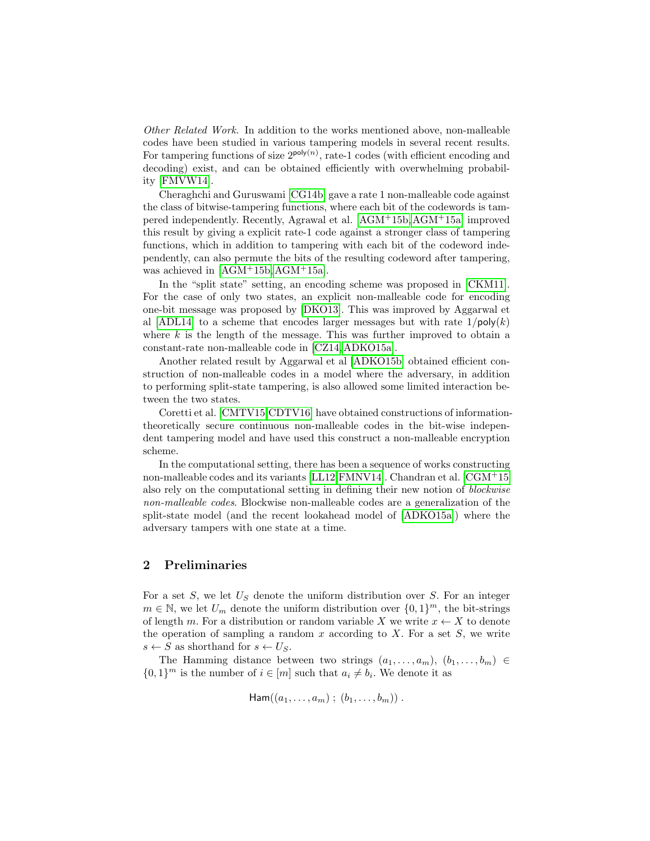Other Related Work. In addition to the works mentioned above, non-malleable codes have been studied in various tampering models in several recent results. For tampering functions of size  $2^{poly(n)}$ , rate-1 codes (with efficient encoding and decoding) exist, and can be obtained efficiently with overwhelming probability [\[FMVW14\]](#page-24-1).

Cheraghchi and Guruswami [\[CG14b\]](#page-23-4) gave a rate 1 non-malleable code against the class of bitwise-tampering functions, where each bit of the codewords is tampered independently. Recently, Agrawal et al. [\[AGM](#page-23-7)+15b,[AGM](#page-23-8)+15a] improved this result by giving a explicit rate-1 code against a stronger class of tampering functions, which in addition to tampering with each bit of the codeword independently, can also permute the bits of the resulting codeword after tampering, was achieved in [\[AGM](#page-23-7)+15b, [AGM](#page-23-8)+15a].

In the "split state" setting, an encoding scheme was proposed in [\[CKM11\]](#page-23-11). For the case of only two states, an explicit non-malleable code for encoding one-bit message was proposed by [\[DKO13\]](#page-23-1). This was improved by Aggarwal et al [\[ADL14\]](#page-22-0) to a scheme that encodes larger messages but with rate  $1/\text{poly}(k)$ where  $k$  is the length of the message. This was further improved to obtain a constant-rate non-malleable code in [\[CZ14,](#page-23-5) [ADKO15a\]](#page-22-4).

Another related result by Aggarwal et al [\[ADKO15b\]](#page-22-3) obtained efficient construction of non-malleable codes in a model where the adversary, in addition to performing split-state tampering, is also allowed some limited interaction between the two states.

Coretti et al. [\[CMTV15,](#page-23-12)[CDTV16\]](#page-23-13) have obtained constructions of informationtheoretically secure continuous non-malleable codes in the bit-wise independent tampering model and have used this construct a non-malleable encryption scheme.

In the computational setting, there has been a sequence of works constructing non-malleable codes and its variants [\[LL12,](#page-24-0) [FMNV14\]](#page-23-2). Chandran et al. [\[CGM](#page-23-14)+15] also rely on the computational setting in defining their new notion of blockwise non-malleable codes. Blockwise non-malleable codes are a generalization of the split-state model (and the recent lookahead model of [\[ADKO15a\]](#page-22-4)) where the adversary tampers with one state at a time.

### 2 Preliminaries

For a set  $S$ , we let  $U_S$  denote the uniform distribution over  $S$ . For an integer  $m \in \mathbb{N}$ , we let  $U_m$  denote the uniform distribution over  $\{0,1\}^m$ , the bit-strings of length m. For a distribution or random variable X we write  $x \leftarrow X$  to denote the operation of sampling a random x according to X. For a set  $S$ , we write  $s \leftarrow S$  as shorthand for  $s \leftarrow U_S$ .

The Hamming distance between two strings  $(a_1, \ldots, a_m), (b_1, \ldots, b_m) \in$  $\{0,1\}^m$  is the number of  $i \in [m]$  such that  $a_i \neq b_i$ . We denote it as

$$
\mathsf{Ham}((a_1,\ldots,a_m)\,;\,(b_1,\ldots,b_m))\,.
$$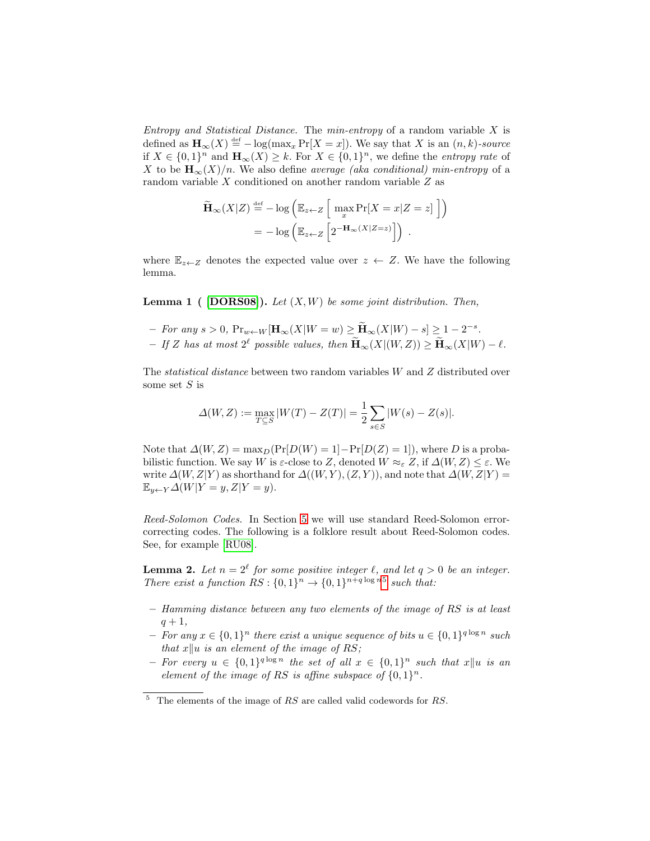Entropy and Statistical Distance. The min-entropy of a random variable  $X$  is defined as  $\mathbf{H}_{\infty}(X) \stackrel{\text{def}}{=} -\log(\max_x \Pr[X=x])$ . We say that X is an  $(n, k)$ -source if  $X \in \{0,1\}^n$  and  $\mathbf{H}_{\infty}(X) \geq k$ . For  $X \in \{0,1\}^n$ , we define the *entropy rate* of X to be  $H_{\infty}(X)/n$ . We also define *average (aka conditional) min-entropy* of a random variable X conditioned on another random variable Z as

$$
\widetilde{\mathbf{H}}_{\infty}(X|Z) \stackrel{\text{def}}{=} -\log \left( \mathbb{E}_{z \leftarrow Z} \left[ \max_{x} \Pr[X = x | Z = z] \right] \right) \right)
$$
\n
$$
= -\log \left( \mathbb{E}_{z \leftarrow Z} \left[ 2^{-\mathbf{H}_{\infty}(X|Z=z)} \right] \right).
$$

where  $\mathbb{E}_{z\leftarrow Z}$  denotes the expected value over  $z \leftarrow Z$ . We have the following lemma.

**Lemma 1** ( [\[DORS08\]](#page-23-15)). Let  $(X, W)$  be some joint distribution. Then,

- $-$  For any  $s > 0$ ,  $\Pr_{w \leftarrow W}[\mathbf{H}_{\infty}(X|W=w) \geq \widetilde{\mathbf{H}}_{\infty}(X|W) s] \geq 1 2^{-s}$ .
- $-If Z$  has at most  $2^{\ell}$  possible values, then  $\widetilde{H}_{\infty}(X | (W, Z)) \ge \widetilde{H}_{\infty}(X | W) \ell$ .

The statistical distance between two random variables W and Z distributed over some set  $S$  is

$$
\Delta(W, Z) := \max_{T \subseteq S} |W(T) - Z(T)| = \frac{1}{2} \sum_{s \in S} |W(s) - Z(s)|.
$$

Note that  $\Delta(W, Z) = \max_D(\Pr[D(W) = 1] - \Pr[D(Z) = 1])$ , where D is a probabilistic function. We say W is  $\varepsilon$ -close to Z, denoted  $W \approx_{\varepsilon} Z$ , if  $\Delta(W, Z) \leq \varepsilon$ . We write  $\Delta(W, Z|Y)$  as shorthand for  $\Delta((W, Y), (Z, Y))$ , and note that  $\Delta(W, Z|Y)$  =  $\mathbb{E}_{y \leftarrow Y} \Delta(W|Y=y, Z|Y=y).$ 

<span id="page-6-1"></span>Reed-Solomon Codes. In Section [5](#page-13-0) we will use standard Reed-Solomon errorcorrecting codes. The following is a folklore result about Reed-Solomon codes. See, for example [\[RU08\]](#page-24-8).

**Lemma 2.** Let  $n = 2^{\ell}$  for some positive integer  $\ell$ , and let  $q > 0$  be an integer. There exist a function  $RS: \{0,1\}^n \rightarrow \{0,1\}^{n+q \log n5}$  $RS: \{0,1\}^n \rightarrow \{0,1\}^{n+q \log n5}$  $RS: \{0,1\}^n \rightarrow \{0,1\}^{n+q \log n5}$  such that:

- Hamming distance between any two elements of the image of RS is at least  $q + 1$ ,
- − For any  $x \in \{0,1\}^n$  there exist a unique sequence of bits  $u \in \{0,1\}^{q \log n}$  such that  $x\|u$  is an element of the image of RS;
- For every  $u \in \{0,1\}^{q \log n}$  the set of all  $x \in \{0,1\}^n$  such that  $x||u$  is an element of the image of RS is affine subspace of  $\{0,1\}^n$ .

<span id="page-6-0"></span> $5$  The elements of the image of RS are called valid codewords for RS.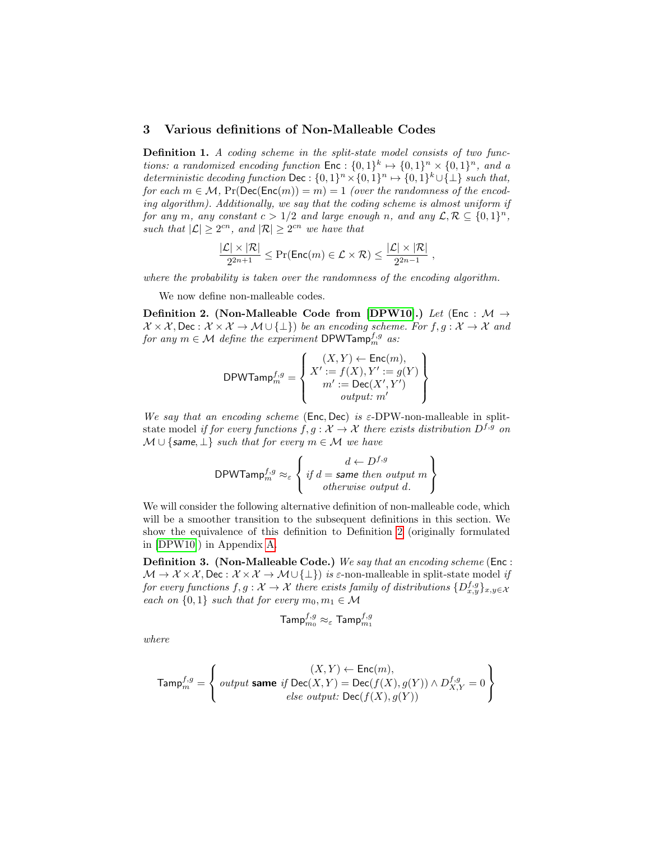## 3 Various definitions of Non-Malleable Codes

Definition 1. A coding scheme in the split-state model consists of two functions: a randomized encoding function  $\mathsf{Enc} : \{0,1\}^k \mapsto \{0,1\}^n \times \{0,1\}^n$ , and a deterministic decoding function Dec :  $\{0,1\}^n \times \{0,1\}^n \mapsto \{0,1\}^k \cup \{\perp\}$  such that, for each  $m \in \mathcal{M}$ ,  $Pr(Dec(Enc(m)) = m) = 1$  (over the randomness of the encoding algorithm). Additionally, we say that the coding scheme is almost uniform if for any m, any constant  $c > 1/2$  and large enough n, and any  $\mathcal{L}, \mathcal{R} \subseteq \{0,1\}^n$ , such that  $|\mathcal{L}| \geq 2^{cn}$ , and  $|\mathcal{R}| \geq 2^{cn}$  we have that

$$
\frac{|\mathcal{L}| \times |\mathcal{R}|}{2^{2n+1}} \leq \Pr(\mathsf{Enc}(m) \in \mathcal{L} \times \mathcal{R}) \leq \frac{|\mathcal{L}| \times |\mathcal{R}|}{2^{2n-1}}
$$

<span id="page-7-0"></span>,

where the probability is taken over the randomness of the encoding algorithm.

We now define non-malleable codes.

Definition 2. (Non-Malleable Code from [\[DPW10\]](#page-23-0).) Let (Enc :  $M \rightarrow$  $X \times X$ , Dec :  $X \times X \to M \cup \{\perp\}$  be an encoding scheme. For  $f, g: X \to X$  and for any  $m \in \mathcal{M}$  define the experiment DPWTamp $_{m}^{f,g}$  as:

$$
\mathsf{DPWTamp}_{m}^{f,g} = \left\{ \begin{aligned} & (X,Y) \leftarrow \mathsf{Enc}(m), \\ & X' := f(X), Y' := g(Y) \\ & m' := \mathsf{Dec}(X',Y') \\ & \text{output: } m' \end{aligned} \right\}
$$

We say that an encoding scheme (Enc, Dec) is  $\varepsilon$ -DPW-non-malleable in splitstate model if for every functions  $f, g: \mathcal{X} \to \mathcal{X}$  there exists distribution  $D^{f,g}$  on  $M \cup \{ \text{same}, \perp \}$  such that for every  $m \in \mathcal{M}$  we have

$$
\mathsf{DPWTamp}_{m}^{f,g} \approx_{\varepsilon} \left\{ \begin{array}{c} d \leftarrow D^{f,g} \\ \text{if } d = \text{same then output } m \\ \text{otherwise output } d. \end{array} \right\}
$$

We will consider the following alternative definition of non-malleable code, which will be a smoother transition to the subsequent definitions in this section. We show the equivalence of this definition to Definition [2](#page-7-0) (originally formulated in [\[DPW10\]](#page-23-0)) in Appendix [A.](#page-24-9)

Definition 3. (Non-Malleable Code.) We say that an encoding scheme (Enc :  $\mathcal{M} \to \mathcal{X} \times \mathcal{X}$ , Dec :  $\mathcal{X} \times \mathcal{X} \to \mathcal{M} \cup {\{\perp\}}$  is  $\varepsilon$ -non-malleable in split-state model if for every functions  $f,g: \mathcal{X} \to \mathcal{X}$  there exists family of distributions  $\{D^{f,g}_{x,y}\}_{x,y \in \mathcal{X}}$ each on  $\{0,1\}$  such that for every  $m_0, m_1 \in \mathcal{M}$ 

<span id="page-7-1"></span>
$$
\mathsf{Tamp}_{m_0}^{f,g} \approx_\varepsilon \mathsf{Tamp}_{m_1}^{f,g}
$$

where

$$
\text{Tamp}^{f,g}_m = \left\{ \begin{array}{c} (X,Y) \leftarrow \textsf{Enc}(m), \\ output \textbf{ same } \textit{if } \textsf{Dec}(X,Y) = \textsf{Dec}(f(X),g(Y)) \wedge D_{X,Y}^{f,g} = 0 \\ else \textit{ output: } \textsf{Dec}(f(X),g(Y)) \end{array} \right\}
$$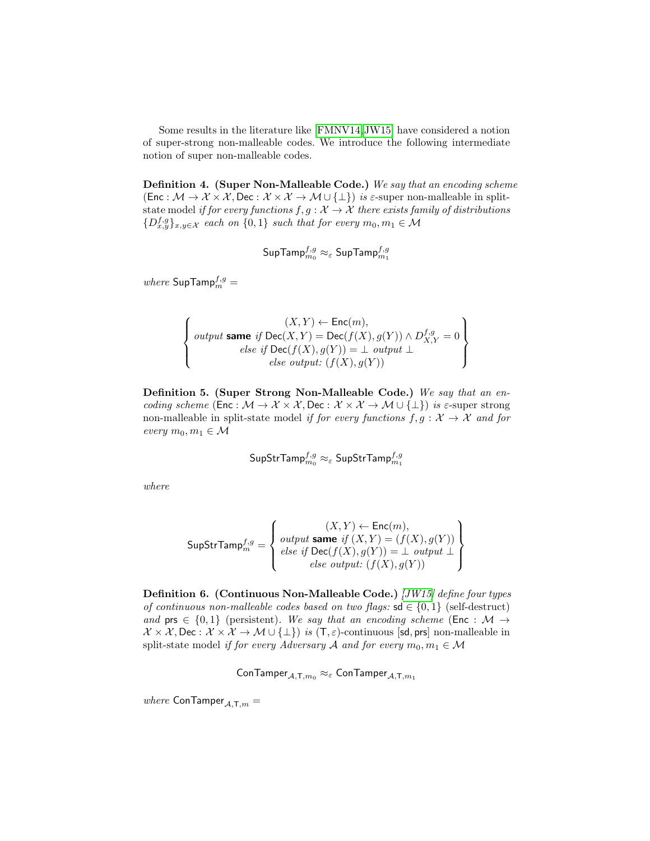Some results in the literature like [\[FMNV14,](#page-23-2)[JW15\]](#page-24-3) have considered a notion of super-strong non-malleable codes. We introduce the following intermediate notion of super non-malleable codes.

Definition 4. (Super Non-Malleable Code.) We say that an encoding scheme (Enc :  $\mathcal{M} \to \mathcal{X} \times \mathcal{X}$ , Dec :  $\mathcal{X} \times \mathcal{X} \to \mathcal{M} \cup \{\perp\}$ ) is  $\varepsilon$ -super non-malleable in splitstate model if for every functions  $f, g: \mathcal{X} \to \mathcal{X}$  there exists family of distributions  $\{D_{x,y}^{f,g}\}_{x,y\in\mathcal{X}}$  each on  $\{0,1\}$  such that for every  $m_0, m_1 \in \mathcal{M}$ 

<span id="page-8-1"></span>
$$
\mathsf{SupTamp}_{m_0}^{f,g} \approx_{\varepsilon} \mathsf{SupTamp}_{m_1}^{f,g}
$$

 $where \ \mathsf{SupTamp}_m^{f,g} =$ 

$$
\left\{\begin{array}{c}(X,Y) \leftarrow \mathsf{Enc}(m),\\ output\ \mathsf{same}\ \mathit{if}\ \mathsf{Dec}(X,Y) = \mathsf{Dec}(f(X),g(Y)) \wedge D_{X,Y}^{f,g} = 0\\ else\ \mathit{if}\ \mathsf{Dec}(f(X),g(Y)) = \bot\ \mathit{output}\ \bot\\ else\ \mathit{output}:\ (f(X),g(Y))\end{array}\right\}
$$

Definition 5. (Super Strong Non-Malleable Code.) We say that an encoding scheme (Enc :  $M \to \mathcal{X} \times \mathcal{X}$ , Dec :  $\mathcal{X} \times \mathcal{X} \to \mathcal{M} \cup \{\perp\}$ ) is  $\varepsilon$ -super strong non-malleable in split-state model if for every functions  $f, g : \mathcal{X} \to \mathcal{X}$  and for every  $m_0, m_1 \in \mathcal{M}$ 

$$
\mathsf{SupStrTamp}_{m_0}^{f,g} \approx_{\varepsilon} \mathsf{SupStrTamp}_{m_1}^{f,g}
$$

where

$$
\mathsf{SupStrTamp}_{m}^{f,g} = \left\{ \begin{array}{l} (X,Y) \leftarrow \mathsf{Enc}(m), \\ output \mathsf{same} \mathit{ if } \left( X,Y \right) = \left( f(X),g(Y) \right) \\ else \mathit{ if } \mathsf{Dec}(f(X),g(Y)) = \bot \mathit{ output} \bot \\ else \mathit{ output: } \left( f(X),g(Y) \right) \end{array} \right\}
$$

<span id="page-8-0"></span>Definition 6. (Continuous Non-Malleable Code.) [\[JW15\]](#page-24-3) define four types of continuous non-malleable codes based on two flags:  $sd \in \{0,1\}$  (self-destruct) and prs  $\in \{0,1\}$  (persistent). We say that an encoding scheme (Enc : M  $\rightarrow$  $\mathcal{X} \times \mathcal{X}$ , Dec :  $\mathcal{X} \times \mathcal{X} \to \mathcal{M} \cup {\{\perp\}}$  is  $(T, \varepsilon)$ -continuous [sd, prs] non-malleable in split-state model if for every Adversary A and for every  $m_0, m_1 \in \mathcal{M}$ 

 $\mathsf{ConTamper}_{\mathcal{A}, \mathsf{T}, m_0} \approx_{\varepsilon} \mathsf{ConTamper}_{\mathcal{A}, \mathsf{T}, m_1}$ 

where  $\textsf{ConTamper}_{\mathcal{A},\mathsf{T},m} =$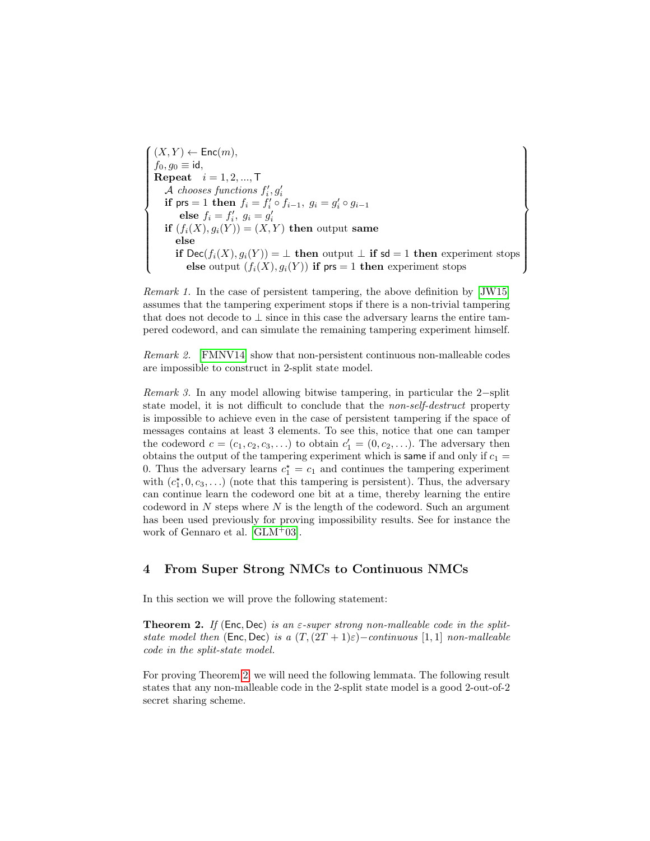$\sqrt{ }$  $\begin{array}{c} \hline \end{array}$  $\begin{array}{c} \hline \end{array}$  $(X, Y) \leftarrow \mathsf{Enc}(m),$  $f_0, g_0 \equiv \mathsf{id},$ **Repeat**  $i = 1, 2, ..., T$ *A* chooses functions  $f'_i, g'_i$ <br> **if**  $\mathsf{prs} = 1$  **then**  $f_i = f'_i \circ f_{i-1}, g_i = g'_i \circ g_{i-1}$ else  $f_i = f'_i$ ,  $g_i = g'_i$ <br>
if  $(f_i(X), g_i(Y)) = (X, Y)$  then output same else if Dec( $f_i(X), g_i(Y)$ ) = ⊥ then output ⊥ if sd = 1 then experiment stops else output  $(f_i(X), g_i(Y))$  if prs = 1 then experiment stops  $\mathcal{L}$  $\begin{array}{c} \hline \end{array}$  $\begin{array}{c} \hline \end{array}$ 

Remark 1. In the case of persistent tampering, the above definition by [\[JW15\]](#page-24-3) assumes that the tampering experiment stops if there is a non-trivial tampering that does not decode to  $\perp$  since in this case the adversary learns the entire tampered codeword, and can simulate the remaining tampering experiment himself.

Remark 2. [\[FMNV14\]](#page-23-2) show that non-persistent continuous non-malleable codes are impossible to construct in 2-split state model.

Remark 3. In any model allowing bitwise tampering, in particular the 2−split state model, it is not difficult to conclude that the non-self-destruct property is impossible to achieve even in the case of persistent tampering if the space of messages contains at least 3 elements. To see this, notice that one can tamper the codeword  $c = (c_1, c_2, c_3, \ldots)$  to obtain  $c'_1 = (0, c_2, \ldots)$ . The adversary then obtains the output of the tampering experiment which is same if and only if  $c_1 =$ 0. Thus the adversary learns  $c_1^* = c_1$  and continues the tampering experiment with  $(c_1^{\star}, 0, c_3, \ldots)$  (note that this tampering is persistent). Thus, the adversary can continue learn the codeword one bit at a time, thereby learning the entire codeword in  $N$  steps where  $N$  is the length of the codeword. Such an argument has been used previously for proving impossibility results. See for instance the work of Gennaro et al. [\[GLM](#page-24-5)<sup>+</sup>03].

## <span id="page-9-1"></span>4 From Super Strong NMCs to Continuous NMCs

<span id="page-9-0"></span>In this section we will prove the following statement:

**Theorem 2.** If (Enc, Dec) is an  $\varepsilon$ -super strong non-malleable code in the splitstate model then (Enc, Dec) is a  $(T,(2T+1)\varepsilon)$ -continuous [1, 1] non-malleable code in the split-state model.

<span id="page-9-2"></span>For proving Theorem [2,](#page-9-0) we will need the following lemmata. The following result states that any non-malleable code in the 2-split state model is a good 2-out-of-2 secret sharing scheme.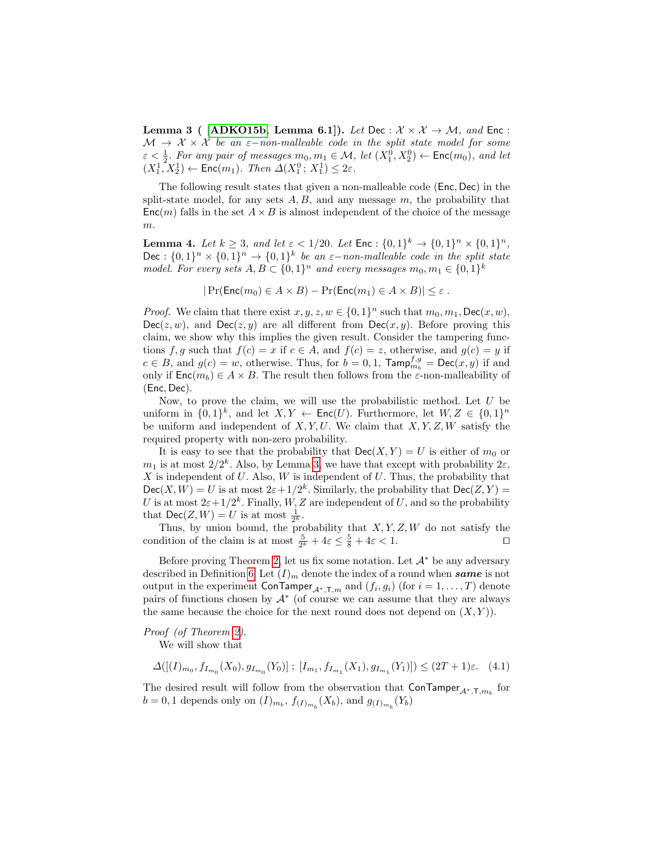Lemma 3 ( [\[ADKO15b,](#page-22-3) Lemma 6.1]). Let Dec :  $\mathcal{X} \times \mathcal{X} \to \mathcal{M}$ , and Enc :  $\mathcal{M} \to \mathcal{X} \times \mathcal{X}$  be an  $\varepsilon$ -non-malleable code in the split state model for some  $\varepsilon < \frac{1}{2}$ . For any pair of messages  $m_0, m_1 \in \mathcal{M}$ , let  $(X_1^0, X_2^0) \leftarrow \text{Enc}(m_0)$ , and let  $(X_1^1, X_2^1) \leftarrow \text{Enc}(m_1)$ . Then  $\Delta(X_1^0, X_1^1) \leq 2\varepsilon$ .

The following result states that given a non-malleable code (Enc, Dec) in the split-state model, for any sets  $A, B$ , and any message  $m$ , the probability that  $\mathsf{Enc}(m)$  falls in the set  $A \times B$  is almost independent of the choice of the message m.

<span id="page-10-0"></span>**Lemma 4.** Let  $k \geq 3$ , and let  $\varepsilon < 1/20$ . Let  $\textsf{Enc} : \{0,1\}^k \to \{0,1\}^n \times \{0,1\}^n$ , Dec :  $\{0,1\}^n \times \{0,1\}^n \rightarrow \{0,1\}^k$  be an  $\varepsilon$ -non-malleable code in the split state model. For every sets  $A, B \subset \{0,1\}^n$  and every messages  $m_0, m_1 \in \{0,1\}^k$ 

 $|\Pr(\mathsf{Enc}(m_0) \in A \times B) - \Pr(\mathsf{Enc}(m_1) \in A \times B)| \leq \varepsilon$ .

*Proof.* We claim that there exist  $x, y, z, w \in \{0, 1\}^n$  such that  $m_0, m_1$ , Dec $(x, w)$ ,  $Dec(z, w)$ , and  $Dec(z, y)$  are all different from  $Dec(x, y)$ . Before proving this claim, we show why this implies the given result. Consider the tampering functions f, g such that  $f(c) = x$  if  $c \in A$ , and  $f(c) = z$ , otherwise, and  $g(c) = y$  if  $c \in B$ , and  $g(c) = w$ , otherwise. Thus, for  $b = 0, 1$ ,  $\text{Tamp}_{m_b}^{f,g} = \text{Dec}(x, y)$  if and only if  $\mathsf{Enc}(m_b) \in A \times B$ . The result then follows from the  $\varepsilon$ -non-malleability of (Enc, Dec).

Now, to prove the claim, we will use the probabilistic method. Let  $U$  be uniform in  $\{0,1\}^k$ , and let  $X, Y \leftarrow \mathsf{Enc}(U)$ . Furthermore, let  $W, Z \in \{0,1\}^n$ be uniform and independent of  $X, Y, U$ . We claim that  $X, Y, Z, W$  satisfy the required property with non-zero probability.

It is easy to see that the probability that  $\text{Dec}(X, Y) = U$  is either of  $m_0$  or  $m_1$  is at most  $2/2^k$ . Also, by Lemma [3,](#page-9-2) we have that except with probability  $2\varepsilon$ ,  $X$  is independent of  $U$ . Also,  $W$  is independent of  $U$ . Thus, the probability that  $Dec(X, W) = U$  is at most  $2\varepsilon + 1/2^k$ . Similarly, the probability that  $Dec(Z, Y) =$ U is at most  $2\varepsilon+1/2^k$ . Finally, W, Z are independent of U, and so the probability that  $\mathsf{Dec}(Z,W) = U$  is at most  $\frac{1}{2^k}$ .

Thus, by union bound, the probability that  $X, Y, Z, W$  do not satisfy the condition of the claim is at most  $\frac{5}{2^k} + 4\varepsilon \leq \frac{5}{8} + 4\varepsilon < 1$ .

Before proving Theorem [2,](#page-9-0) let us fix some notation. Let  $\mathcal{A}^*$  be any adversary described in Definition [6.](#page-8-0) Let  $(I)_m$  denote the index of a round when same is not output in the experiment  $\mathsf{ConTamper}_{\mathcal{A}^*, \mathsf{T}, m}$  and  $(f_i, g_i)$  (for  $i = 1, \ldots, T)$  denote pairs of functions chosen by  $\mathcal{A}^*$  (of course we can assume that they are always the same because the choice for the next round does not depend on  $(X, Y)$ .

Proof (of Theorem [2\)](#page-9-0).

We will show that

<span id="page-10-1"></span>
$$
\Delta([ (I)_{m_0}, f_{I_{m_0}}(X_0), g_{I_{m_0}}(Y_0)]; [I_{m_1}, f_{I_{m_1}}(X_1), g_{I_{m_1}}(Y_1)]) \leq (2T + 1)\varepsilon. \tag{4.1}
$$

The desired result will follow from the observation that  $\mathsf{ConTamper}_{\mathcal{A}^*, \mathsf{T}, m_b}$  for  $b = 0, 1$  depends only on  $(I)_{m_b}$ ,  $f_{(I)_{m_b}}(X_b)$ , and  $g_{(I)_{m_b}}(Y_b)$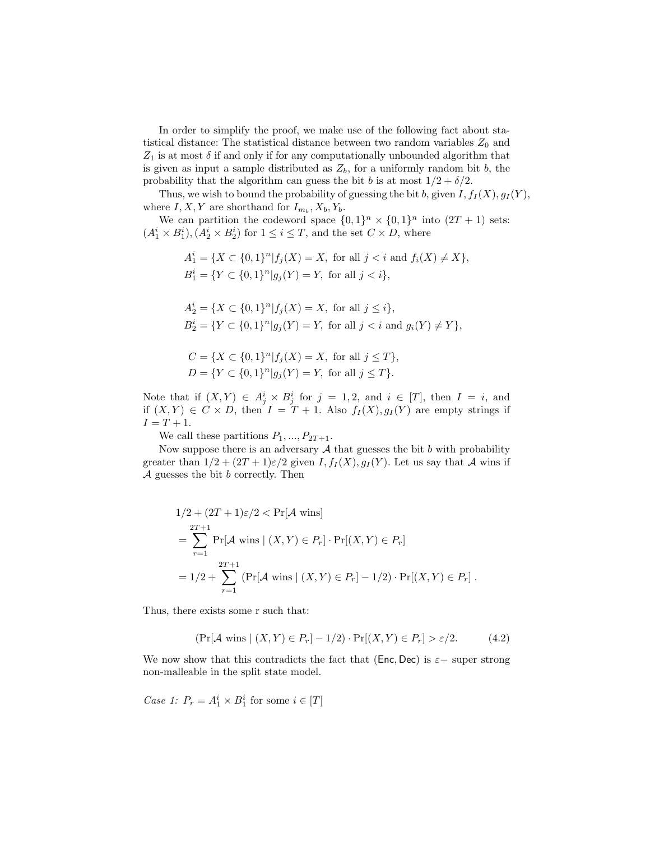In order to simplify the proof, we make use of the following fact about statistical distance: The statistical distance between two random variables  $Z_0$  and  $Z_1$  is at most  $\delta$  if and only if for any computationally unbounded algorithm that is given as input a sample distributed as  $Z_b$ , for a uniformly random bit b, the probability that the algorithm can guess the bit b is at most  $1/2 + \delta/2$ .

Thus, we wish to bound the probability of guessing the bit b, given  $I, f_I(X), g_I(Y)$ , where  $I, X, Y$  are shorthand for  $I_{m_b}, X_b, Y_b$ .

We can partition the codeword space  $\{0,1\}^n \times \{0,1\}^n$  into  $(2T + 1)$  sets:  $(A_1^i \times B_1^i), (A_2^i \times B_2^i)$  for  $1 \leq i \leq T$ , and the set  $C \times D$ , where

$$
A_1^i = \{ X \subset \{0,1\}^n | f_j(X) = X, \text{ for all } j < i \text{ and } f_i(X) \neq X \},
$$
\n
$$
B_1^i = \{ Y \subset \{0,1\}^n | g_j(Y) = Y, \text{ for all } j < i \},
$$

$$
A_2^i = \{ X \subset \{0,1\}^n | f_j(X) = X, \text{ for all } j \le i \},
$$
  
\n
$$
B_2^i = \{ Y \subset \{0,1\}^n | g_j(Y) = Y, \text{ for all } j < i \text{ and } g_i(Y) \ne Y \},
$$

$$
C = \{ X \subset \{0,1\}^n | f_j(X) = X, \text{ for all } j \le T \},
$$
  
 
$$
D = \{ Y \subset \{0,1\}^n | g_j(Y) = Y, \text{ for all } j \le T \}.
$$

Note that if  $(X,Y) \in A_j^i \times B_j^i$  for  $j = 1,2$ , and  $i \in [T]$ , then  $I = i$ , and if  $(X, Y) \in C \times D$ , then  $I = T + 1$ . Also  $f_I(X), g_I(Y)$  are empty strings if  $I = T + 1.$ 

We call these partitions  $P_1, ..., P_{2T+1}$ .

Now suppose there is an adversary  $A$  that guesses the bit  $b$  with probability greater than  $1/2 + (2T + 1)\varepsilon/2$  given  $I, f_I(X), g_I(Y)$ . Let us say that A wins if  $A$  guesses the bit  $b$  correctly. Then

$$
1/2 + (2T + 1)\varepsilon/2 < \Pr[\mathcal{A} \text{ wins}]
$$
  
=  $\sum_{r=1}^{2T+1} \Pr[\mathcal{A} \text{ wins} | (X, Y) \in P_r] \cdot \Pr[(X, Y) \in P_r]$   
=  $1/2 + \sum_{r=1}^{2T+1} (\Pr[\mathcal{A} \text{ wins} | (X, Y) \in P_r] - 1/2) \cdot \Pr[(X, Y) \in P_r].$ 

Thus, there exists some r such that:

<span id="page-11-0"></span>
$$
(\Pr[\mathcal{A} \text{ wins} \mid (X, Y) \in P_r] - 1/2) \cdot \Pr[(X, Y) \in P_r] > \varepsilon/2. \tag{4.2}
$$

We now show that this contradicts the fact that (Enc, Dec) is  $\varepsilon$  – super strong non-malleable in the split state model.

Case 1:  $P_r = A_1^i \times B_1^i$  for some  $i \in [T]$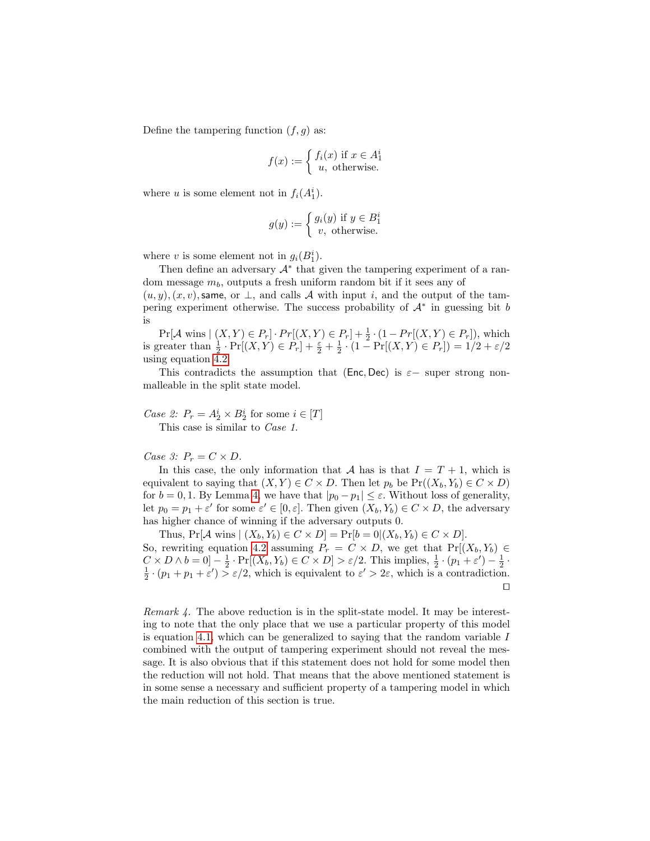Define the tampering function  $(f, g)$  as:

$$
f(x) := \begin{cases} f_i(x) & \text{if } x \in A_1^i \\ u, & \text{otherwise.} \end{cases}
$$

where u is some element not in  $f_i(A_1^i)$ .

$$
g(y) := \begin{cases} g_i(y) & \text{if } y \in B_1^i \\ v, & \text{otherwise.} \end{cases}
$$

where v is some element not in  $g_i(B_1^i)$ .

Then define an adversary  $A^*$  that given the tampering experiment of a random message  $m_b$ , outputs a fresh uniform random bit if it sees any of

 $(u, y), (x, v)$ , same, or  $\perp$ , and calls A with input i, and the output of the tampering experiment otherwise. The success probability of  $A^*$  in guessing bit b is

 $Pr[\mathcal{A} \text{ wins} | (X, Y) \in P_r] \cdot Pr[(X, Y) \in P_r] + \frac{1}{2} \cdot (1 - Pr[(X, Y) \in P_r]),$  which is greater than  $\frac{1}{2} \cdot \Pr[(X, Y) \in P_r] + \frac{\varepsilon}{2} + \frac{1}{2} \cdot (1 - \Pr[(X, Y) \in P_r]) = 1/2 + \varepsilon/2$ using equation  $\overline{4.2}$ .

This contradicts the assumption that (Enc, Dec) is  $\varepsilon$  – super strong nonmalleable in the split state model.

Case 2:  $P_r = A_2^i \times B_2^i$  for some  $i \in [T]$ This case is similar to Case 1.

Case 3:  $P_r = C \times D$ .

In this case, the only information that  $\mathcal A$  has is that  $I = T + 1$ , which is equivalent to saying that  $(X, Y) \in C \times D$ . Then let  $p_b$  be  $Pr((X_b, Y_b) \in C \times D)$ for  $b = 0, 1$ . By Lemma [4,](#page-10-0) we have that  $|p_0 - p_1| \leq \varepsilon$ . Without loss of generality, let  $p_0 = p_1 + \varepsilon'$  for some  $\varepsilon' \in [0, \varepsilon]$ . Then given  $(X_b, Y_b) \in C \times D$ , the adversary has higher chance of winning if the adversary outputs 0.

Thus,  $Pr[\mathcal{A}$  wins  $|(X_b, Y_b) \in C \times D] = Pr[b = 0 | (X_b, Y_b) \in C \times D].$ So, rewriting equation [4.2](#page-11-0) assuming  $P_r = C \times D$ , we get that  $Pr[(X_b, Y_b) \in$  $C \times D \wedge b = 0$ ]  $-\frac{1}{2} \cdot \Pr[(X_b, Y_b) \in C \times D] > \varepsilon/2$ . This implies,  $\frac{1}{2} \cdot (p_1 + \varepsilon') - \frac{1}{2} \cdot \frac{1}{2} \cdot (p_1 + p_1 + \varepsilon') > \varepsilon/2$ , which is equivalent to  $\varepsilon' > 2\varepsilon$ , which is a contradiction.  $\Box$ 

Remark 4. The above reduction is in the split-state model. It may be interesting to note that the only place that we use a particular property of this model is equation [4.1,](#page-10-1) which can be generalized to saying that the random variable  $I$ combined with the output of tampering experiment should not reveal the message. It is also obvious that if this statement does not hold for some model then the reduction will not hold. That means that the above mentioned statement is in some sense a necessary and sufficient property of a tampering model in which the main reduction of this section is true.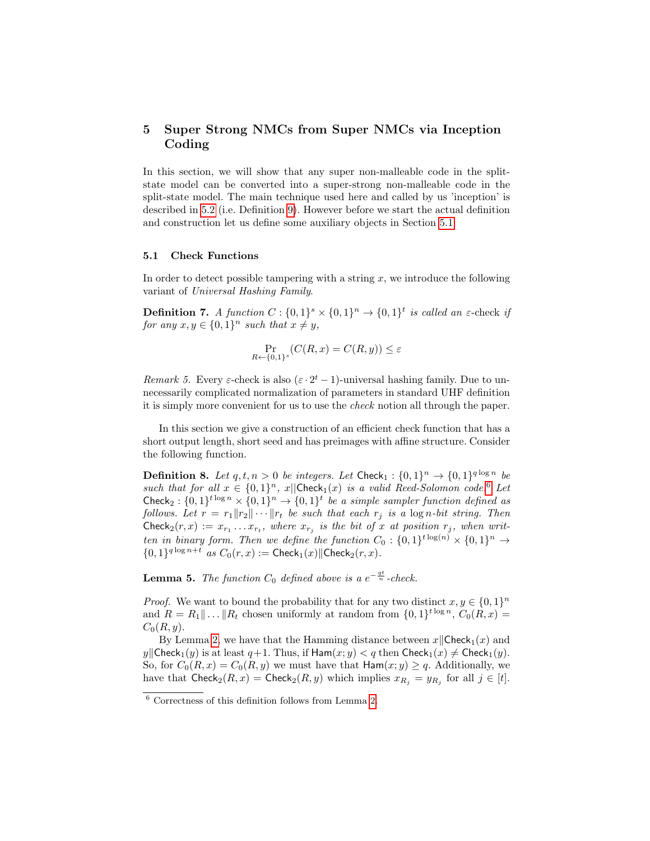## <span id="page-13-0"></span>5 Super Strong NMCs from Super NMCs via Inception Coding

In this section, we will show that any super non-malleable code in the splitstate model can be converted into a super-strong non-malleable code in the split-state model. The main technique used here and called by us 'inception' is described in [5.2](#page-15-0) (i.e. Definition [9\)](#page-15-1). However before we start the actual definition and construction let us define some auxiliary objects in Section [5.1](#page-13-2)

#### <span id="page-13-2"></span>5.1 Check Functions

In order to detect possible tampering with a string  $x$ , we introduce the following variant of Universal Hashing Family.

**Definition 7.** A function  $C: \{0,1\}^s \times \{0,1\}^n \rightarrow \{0,1\}^t$  is called an  $\varepsilon$ -check if for any  $x, y \in \{0, 1\}^n$  such that  $x \neq y$ ,

<span id="page-13-1"></span>
$$
\Pr_{R \leftarrow \{0,1\}^s} (C(R, x) = C(R, y)) \le \varepsilon
$$

Remark 5. Every  $\varepsilon$ -check is also  $(\varepsilon \cdot 2^t - 1)$ -universal hashing family. Due to unnecessarily complicated normalization of parameters in standard UHF definition it is simply more convenient for us to use the check notion all through the paper.

In this section we give a construction of an efficient check function that has a short output length, short seed and has preimages with affine structure. Consider the following function.

**Definition 8.** Let  $q, t, n > 0$  be integers. Let Check<sub>1</sub> :  $\{0, 1\}^n \rightarrow \{0, 1\}^{q \log n}$  be such that for all  $x \in \{0,1\}^n$ ,  $x||\text{Check}_1(x)$  is a valid Reed-Solomon code.<sup>[6](#page-13-3)</sup> Let Check<sub>2</sub>:  $\{0,1\}^{t \log n} \times \{0,1\}^n \rightarrow \{0,1\}^t$  be a simple sampler function defined as follows. Let  $r = r_1 ||r_2|| \cdots ||r_t$  be such that each  $r_j$  is a log n-bit string. Then Check<sub>2</sub> $(r, x) := x_{r_1} \dots x_{r_t}$ , where  $x_{r_j}$  is the bit of x at position  $r_j$ , when written in binary form. Then we define the function  $C_0: \{0,1\}^{t \log(n)} \times \{0,1\}^n \rightarrow$  ${0,1}^{q \log n+t}$  as  $C_0(r,x) := \text{Check}_1(x) \|\text{Check}_2(r,x)$ .

<span id="page-13-4"></span>**Lemma 5.** The function  $C_0$  defined above is a  $e^{-\frac{qt}{n}}$ -check.

*Proof.* We want to bound the probability that for any two distinct  $x, y \in \{0, 1\}^n$ and  $R = R_1 || \dots || R_t$  chosen uniformly at random from  $\{0, 1\}^{t \log n}$ ,  $C_0(R, x) =$  $C_0(R, y)$ .

By Lemma [2,](#page-6-1) we have that the Hamming distance between  $x\parallel$ Check<sub>1</sub>(x) and y||Check<sub>1</sub>(y) is at least  $q+1$ . Thus, if  $\text{Ham}(x; y) < q$  then  $\text{Check}_1(x) \neq \text{Check}_1(y)$ . So, for  $C_0(R, x) = C_0(R, y)$  we must have that  $\text{Ham}(x; y) \geq q$ . Additionally, we have that  $\mathsf{Check}_2(R, x) = \mathsf{Check}_2(R, y)$  which implies  $x_{R_j} = y_{R_j}$  for all  $j \in [t]$ .

<span id="page-13-3"></span> $^6$  Correctness of this definition follows from Lemma [2.](#page-6-1)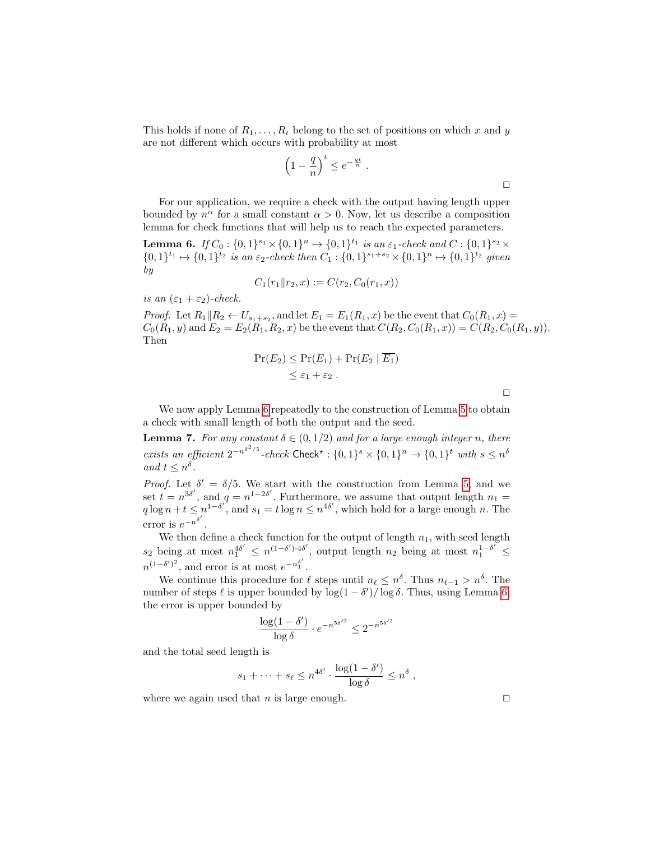This holds if none of  $R_1, \ldots, R_t$  belong to the set of positions on which x and y are not different which occurs with probability at most

$$
\left(1 - \frac{q}{n}\right)^t \le e^{-\frac{qt}{n}}.
$$

For our application, we require a check with the output having length upper bounded by  $n^{\alpha}$  for a small constant  $\alpha > 0$ . Now, let us describe a composition lemma for check functions that will help us to reach the expected parameters.

<span id="page-14-1"></span>**Lemma 6.** If  $C_0: \{0,1\}^{s_1} \times \{0,1\}^n \mapsto \{0,1\}^{t_1}$  is an  $\varepsilon_1$ -check and  $C: \{0,1\}^{s_2} \times$  $\{0,1\}^{t_1} \mapsto \{0,1\}^{t_2}$  is an  $\varepsilon_2$ -check then  $C_1 : \{0,1\}^{s_1+s_2} \times \{0,1\}^n \mapsto \{0,1\}^{t_2}$  given by

$$
C_1(r_1 \| r_2, x) := C(r_2, C_0(r_1, x))
$$

is an  $(\varepsilon_1 + \varepsilon_2)$ -check.

*Proof.* Let  $R_1||R_2 \leftarrow U_{s_1+s_2}$ , and let  $E_1 = E_1(R_1, x)$  be the event that  $C_0(R_1, x)$  $C_0(R_1, y)$  and  $E_2 = E_2(R_1, R_2, x)$  be the event that  $C(R_2, C_0(R_1, x)) = C(R_2, C_0(R_1, y))$ . Then

$$
\Pr(E_2) \le \Pr(E_1) + \Pr(E_2 \mid \overline{E_1})
$$
  
 
$$
\le \varepsilon_1 + \varepsilon_2.
$$

<span id="page-14-0"></span> $\Box$ 

We now apply Lemma [6](#page-14-1) repeatedly to the construction of Lemma [5](#page-13-4) to obtain a check with small length of both the output and the seed.

**Lemma 7.** For any constant  $\delta \in (0, 1/2)$  and for a large enough integer n, there exists an efficient  $2^{-n^{\delta^2/5}}$ -check Check\*:  $\{0,1\}^s \times \{0,1\}^n \rightarrow \{0,1\}^t$  with  $s \leq n^{\delta}$ and  $t \leq n^{\delta}$ .

*Proof.* Let  $\delta' = \delta/5$ . We start with the construction from Lemma [5,](#page-13-4) and we set  $t = n^{3\delta'}$ , and  $q = n^{1-2\delta'}$ . Furthermore, we assume that output length  $n_1 =$  $q \log n + t \leq n^{1-\delta'}$ , and  $s_1 = t \log n \leq n^{4\delta'}$ , which hold for a large enough n. The error is  $e^{-n^{\delta'}}$ .

We then define a check function for the output of length  $n_1$ , with seed length  $s_2$  being at most  $n_1^{4\delta'} \leq n^{(1-\delta') \cdot 4\delta'}$ , output length  $n_2$  being at most  $n_1^{1-\delta'} \leq$  $n^{(1-\delta')^2}$ , and error is at most  $e^{-n_1^{\delta'}}$ .

We continue this procedure for  $\ell$  steps until  $n_{\ell} \leq n^{\delta}$ . Thus  $n_{\ell-1} > n^{\delta}$ . The number of steps  $\ell$  is upper bounded by  $\log(1 - \delta') / \log \delta$ . Thus, using Lemma [6,](#page-14-1) the error is upper bounded by

$$
\frac{\log(1-\delta')}{\log \delta} \cdot e^{-n^{5\delta'^2}} \le 2^{-n^{5\delta'^2}}
$$

and the total seed length is

$$
s_1 + \cdots + s_\ell \le n^{4\delta'} \cdot \frac{\log(1 - \delta')}{\log \delta} \le n^{\delta},
$$

where we again used that *n* is large enough.  $\Box$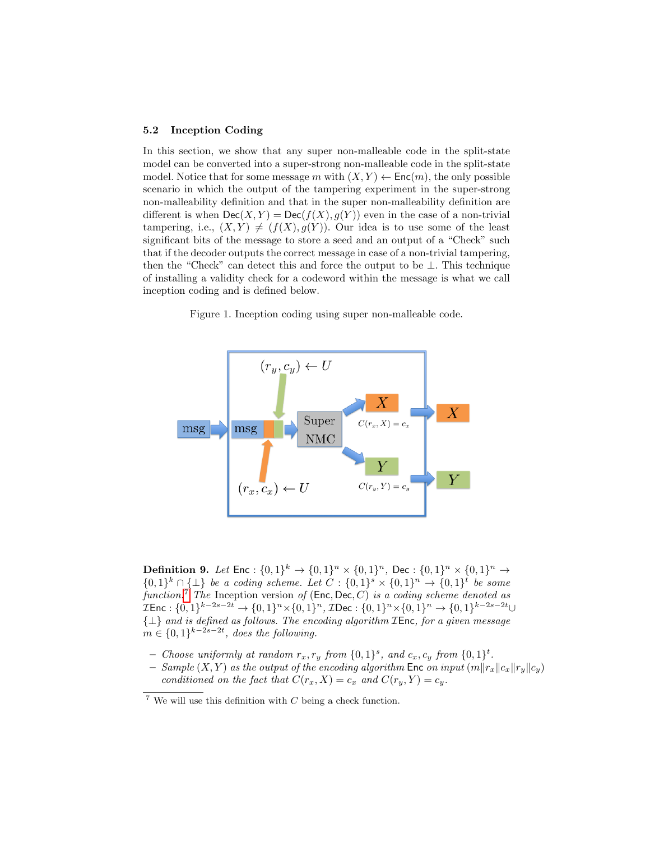#### <span id="page-15-0"></span>5.2 Inception Coding

In this section, we show that any super non-malleable code in the split-state model can be converted into a super-strong non-malleable code in the split-state model. Notice that for some message m with  $(X, Y) \leftarrow \mathsf{Enc}(m)$ , the only possible scenario in which the output of the tampering experiment in the super-strong non-malleability definition and that in the super non-malleability definition are different is when  $\mathsf{Dec}(X, Y) = \mathsf{Dec}(f(X), g(Y))$  even in the case of a non-trivial tampering, i.e.,  $(X, Y) \neq (f(X), g(Y))$ . Our idea is to use some of the least significant bits of the message to store a seed and an output of a "Check" such that if the decoder outputs the correct message in case of a non-trivial tampering, then the "Check" can detect this and force the output to be ⊥. This technique of installing a validity check for a codeword within the message is what we call inception coding and is defined below.

Figure 1. Inception coding using super non-malleable code.



<span id="page-15-1"></span>Definition 9. Let  $\text{Enc} : \{0,1\}^k \to \{0,1\}^n \times \{0,1\}^n$ , Dec :  $\{0,1\}^n \times \{0,1\}^n \to$  $\{0,1\}^k \cap {\{\perp\}}$  be a coding scheme. Let  $C: \{0,1\}^s \times \{0,1\}^n \rightarrow \{0,1\}^t$  be some function.<sup>[7](#page-15-2)</sup> The Inception version of  $(Enc, Dec, C)$  is a coding scheme denoted as  $\mathcal{I}$ Enc :  $\{0, 1\}^{k-2s-2t}$  →  $\{0, 1\}^n \times \{0, 1\}^n$ ,  $\mathcal{I}$ Dec :  $\{0, 1\}^n \times \{0, 1\}^n$  →  $\{0, 1\}^{k-2s-2t}$ ∪  $\{\perp\}$  and is defined as follows. The encoding algorithm  $\mathcal{I}$ Enc, for a given message  $m \in \{0,1\}^{k-2s-2t}$ , does the following.

- Choose uniformly at random  $r_x, r_y$  from  $\{0,1\}^s$ , and  $c_x, c_y$  from  $\{0,1\}^t$ .
- Sample  $(X, Y)$  as the output of the encoding algorithm Enc on input  $(m||r_x||c_x||r_y||c_y)$ conditioned on the fact that  $C(r_x, X) = c_x$  and  $C(r_y, Y) = c_y$ .

<span id="page-15-2"></span><sup>&</sup>lt;sup>7</sup> We will use this definition with  $C$  being a check function.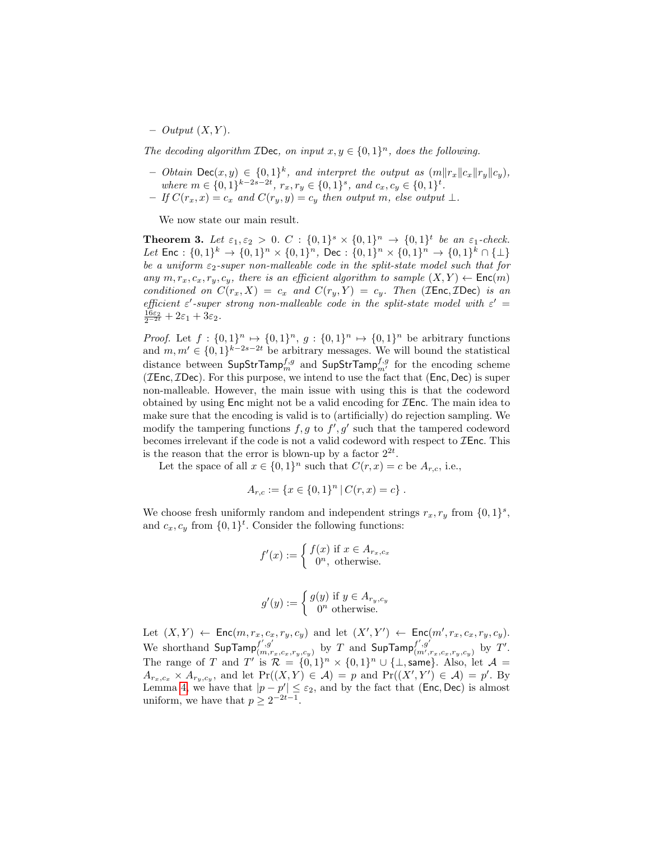$-$  Output  $(X, Y)$ .

The decoding algorithm **IDec**, on input  $x, y \in \{0, 1\}^n$ , does the following.

- Obtain Dec $(x, y) \in \{0, 1\}^k$ , and interpret the output as  $(m||r_x||c_x||r_y||c_y)$ , where  $m \in \{0, 1\}^{k-2s-2t}$ ,  $r_x, r_y \in \{0, 1\}^s$ , and  $c_x, c_y \in \{0, 1\}^t$ .
- If  $C(r_x, x) = c_x$  and  $C(r_y, y) = c_y$  then output m, else output ⊥.

<span id="page-16-0"></span>We now state our main result.

**Theorem 3.** Let  $\varepsilon_1, \varepsilon_2 > 0$ .  $C : \{0,1\}^s \times \{0,1\}^n \rightarrow \{0,1\}^t$  be an  $\varepsilon_1$ -check. Let  $\text{Enc} : \{0,1\}^k \to \{0,1\}^n \times \{0,1\}^n$ ,  $\text{Dec} : \{0,1\}^n \times \{0,1\}^n \to \{0,1\}^k \cap \{\perp\}$ be a uniform  $\varepsilon_2$ -super non-malleable code in the split-state model such that for any  $m, r_x, c_x, r_y, c_y$ , there is an efficient algorithm to sample  $(X, Y) \leftarrow \text{Enc}(m)$ conditioned on  $C(r_x, X) = c_x$  and  $C(r_y, Y) = c_y$ . Then (*IEnc*, *IDec*) is an efficient  $\varepsilon'$ -super strong non-malleable code in the split-state model with  $\varepsilon' =$  $\frac{16\varepsilon_2}{2^{-2t}}+2\varepsilon_1+3\varepsilon_2.$ 

*Proof.* Let  $f: \{0,1\}^n \mapsto \{0,1\}^n$ ,  $g: \{0,1\}^n \mapsto \{0,1\}^n$  be arbitrary functions and  $m, m' \in \{0, 1\}^{k-2s-2t}$  be arbitrary messages. We will bound the statistical distance between  $\mathsf{SupStrTamp}^{f,g}_m$  and  $\mathsf{SupStrTamp}^{f,g}_m$  for the encoding scheme ( $\mathcal{I}$ Enc,  $\mathcal{I}$ Dec). For this purpose, we intend to use the fact that (Enc, Dec) is super non-malleable. However, the main issue with using this is that the codeword obtained by using  $Enc$  might not be a valid encoding for  $\mathcal{I}Enc$ . The main idea to make sure that the encoding is valid is to (artificially) do rejection sampling. We modify the tampering functions  $f, g$  to  $f', g'$  such that the tampered codeword becomes irrelevant if the code is not a valid codeword with respect to  $\mathcal I$ Enc. This is the reason that the error is blown-up by a factor  $2^{2t}$ .

Let the space of all  $x \in \{0,1\}^n$  such that  $C(r, x) = c$  be  $A_{r,c}$ , i.e.,

$$
A_{r,c} := \{x \in \{0,1\}^n \,|\, C(r,x) = c\}.
$$

We choose fresh uniformly random and independent strings  $r_x, r_y$  from  $\{0, 1\}^s$ , and  $c_x, c_y$  from  $\{0, 1\}^t$ . Consider the following functions:

$$
f'(x) := \begin{cases} f(x) & \text{if } x \in A_{r_x, c_x} \\ 0^n, & \text{otherwise.} \end{cases}
$$

$$
g'(y) := \begin{cases} g(y) & \text{if } y \in A_{r_y, c_y} \\ 0^n & \text{otherwise.} \end{cases}
$$

Let  $(X, Y) \leftarrow \mathsf{Enc}(m, r_x, c_x, r_y, c_y)$  and let  $(X', Y') \leftarrow \mathsf{Enc}(m', r_x, c_x, r_y, c_y)$ . We shorthand  $\mathsf{SupTamp}_{(m,r)}^{f',g'}$  $f', g'$ <sub> $(m,r_x, c_x, r_y, c_y)$ </sub> by  $T$  and  $\textsf{SupTamp}^{f', g'}_{(m', r_y, c_y, c_y, c_y)}$  $f', g'_{(m',r_x,c_x,r_y,c_y)}$  by  $T'.$ The range of T and T' is  $\mathcal{R} = \{0,1\}^n \times \{0,1\}^n \cup \{\perp, \text{same}\}.$  Also, let  $\mathcal{A} =$  $A_{r_x,c_x} \times A_{r_y,c_y}$ , and let  $Pr((X,Y) \in \mathcal{A}) = p$  and  $Pr((X',Y') \in \mathcal{A}) = p'$ . By Lemma [4,](#page-10-0) we have that  $|p - p'| \leq \varepsilon_2$ , and by the fact that (Enc, Dec) is almost uniform, we have that  $p \geq 2^{-2t-1}$ .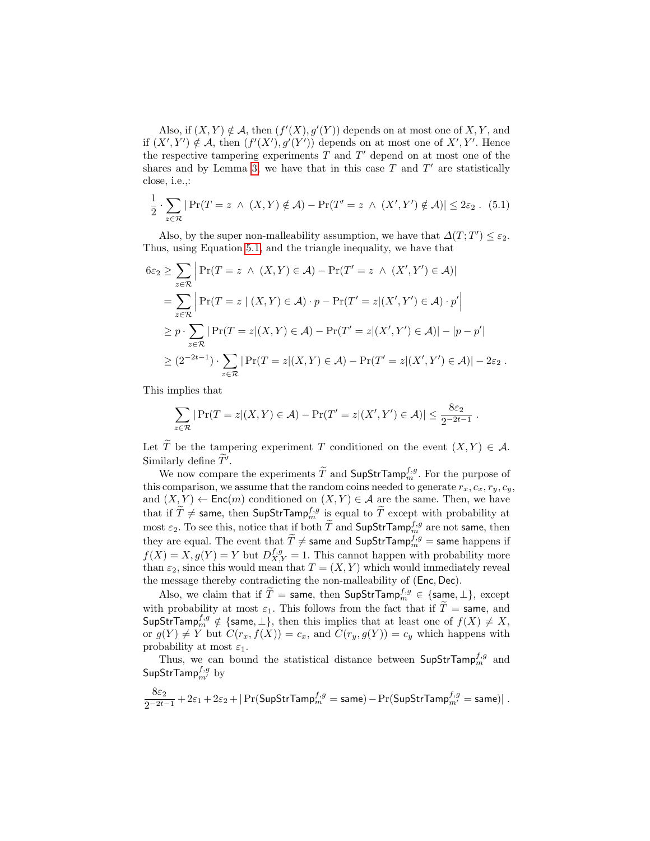Also, if  $(X, Y) \notin \mathcal{A}$ , then  $(f'(X), g'(Y))$  depends on at most one of  $X, Y$ , and if  $(X', Y') \notin \mathcal{A}$ , then  $(f'(X'), g'(Y'))$  depends on at most one of  $X', Y'$ . Hence the respective tampering experiments  $T$  and  $T'$  depend on at most one of the shares and by Lemma [3,](#page-9-2) we have that in this case  $T$  and  $T'$  are statistically close, i.e.,:

<span id="page-17-0"></span>
$$
\frac{1}{2} \cdot \sum_{z \in \mathcal{R}} | \Pr(T = z \land (X, Y) \notin \mathcal{A}) - \Pr(T' = z \land (X', Y') \notin \mathcal{A}) | \leq 2\varepsilon_2.
$$
 (5.1)

Also, by the super non-malleability assumption, we have that  $\Delta(T;T') \leq \varepsilon_2$ . Thus, using Equation [5.1,](#page-17-0) and the triangle inequality, we have that

$$
6\varepsilon_2 \geq \sum_{z \in \mathcal{R}} \left| \Pr(T = z \land (X, Y) \in \mathcal{A}) - \Pr(T' = z \land (X', Y') \in \mathcal{A}) \right|
$$
  
= 
$$
\sum_{z \in \mathcal{R}} \left| \Pr(T = z | (X, Y) \in \mathcal{A}) \cdot p - \Pr(T' = z | (X', Y') \in \mathcal{A}) \cdot p' \right|
$$
  

$$
\geq p \cdot \sum_{z \in \mathcal{R}} |\Pr(T = z | (X, Y) \in \mathcal{A}) - \Pr(T' = z | (X', Y') \in \mathcal{A})| - |p - p'|
$$
  

$$
\geq (2^{-2t-1}) \cdot \sum_{z \in \mathcal{R}} |\Pr(T = z | (X, Y) \in \mathcal{A}) - \Pr(T' = z | (X', Y') \in \mathcal{A})| - 2\varepsilon_2.
$$

This implies that

$$
\sum_{z \in \mathcal{R}} | \Pr(T = z | (X, Y) \in \mathcal{A}) - \Pr(T' = z | (X', Y') \in \mathcal{A}) | \leq \frac{8\varepsilon_2}{2^{-2t-1}}.
$$

Let  $\widetilde{T}$  be the tampering experiment T conditioned on the event  $(X, Y) \in \mathcal{A}$ . Similarly define  $\tilde{T}'$ .

We now compare the experiments  $\widetilde{T}$  and  $\textsf{SupStrTamp}_{m}^{f,g}$ . For the purpose of this comparison, we assume that the random coins needed to generate  $r_x, c_x, r_y, c_y$ , and  $(X, Y) \leftarrow \mathsf{Enc}(m)$  conditioned on  $(X, Y) \in \mathcal{A}$  are the same. Then, we have that if  $\widetilde{T} \neq$  same, then SupStrTamp $_{m}^{f,g}$  is equal to  $\widetilde{T}$  except with probability at most  $\varepsilon_2$ . To see this, notice that if both  $\widetilde{T}$  and SupStrTamp<sup>f,g</sup> are not same, then they are equal. The event that  $\widetilde{T} \neq$  same and SupStrTamp<sup>f,g</sup> = same happens if  $f(X) = X, g(Y) = Y$  but  $D_{X,Y}^{f,g} = 1$ . This cannot happen with probability more than  $\varepsilon_2$ , since this would mean that  $T = (X, Y)$  which would immediately reveal the message thereby contradicting the non-malleability of (Enc, Dec).

Also, we claim that if  $\widetilde{T} =$  same, then SupStrTamp $_{m}^{f,g} \in \{\text{same}, \perp\},\text{ except}$ with probability at most  $\varepsilon_1$ . This follows from the fact that if  $\widetilde{T}$  = same, and  $\mathsf{SupStrTamp}^{f,g}_{m} \notin \{\mathsf{same}, \bot\}, \text{ then this implies that at least one of } f(X) \neq X,$ or  $g(Y) \neq Y$  but  $C(r_x, f(X)) = c_x$ , and  $C(r_y, g(Y)) = c_y$  which happens with probability at most  $\varepsilon_1$ .

Thus, we can bound the statistical distance between  $\mathsf{SupStrTamp}_{m}^{f,g}$  and  $\mathsf{SupStrTamp}_{m'}^{f,g}$  by

$$
\frac{8\varepsilon_2}{2^{-2t-1}}+2\varepsilon_1+2\varepsilon_2+|\Pr(\mathsf{SupStrTamp}_{m}^{f,g}=\mathsf{same})-\Pr(\mathsf{SupStrTamp}_{m'}^{f,g}=\mathsf{same})|\;.
$$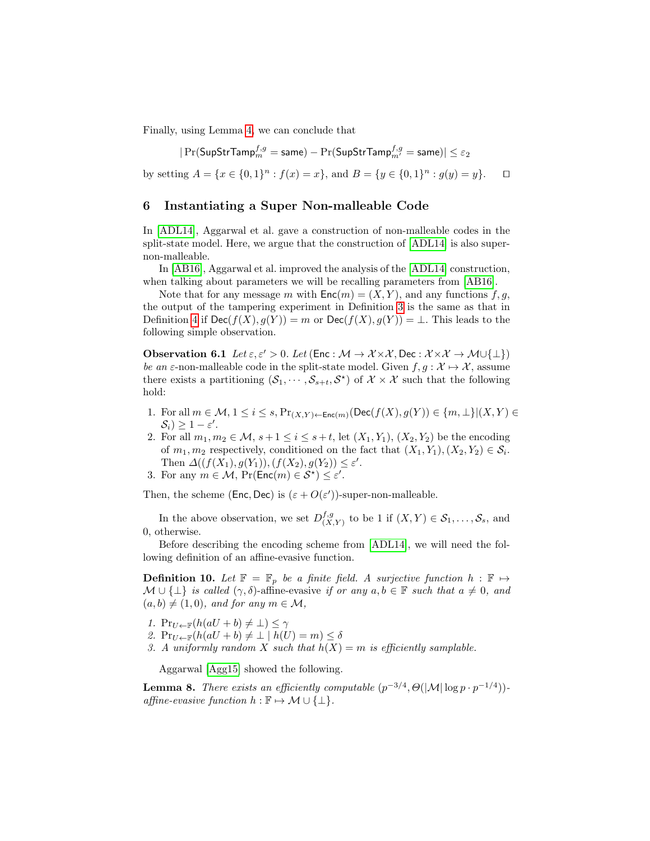Finally, using Lemma [4,](#page-10-0) we can conclude that

$$
|\Pr(\mathsf{SupStrTamp}_{m}^{f,g}=\mathsf{same})-\Pr(\mathsf{SupStrTamp}_{m'}^{f,g}=\mathsf{same})|\leq\varepsilon_{2}
$$

by setting  $A = \{x \in \{0,1\}^n : f(x) = x\}$ , and  $B = \{y \in \{0,1\}^n : g(y) = y\}$ .  $\Box$ 

### <span id="page-18-0"></span>6 Instantiating a Super Non-malleable Code

In [\[ADL14\]](#page-22-0), Aggarwal et al. gave a construction of non-malleable codes in the split-state model. Here, we argue that the construction of [\[ADL14\]](#page-22-0) is also supernon-malleable.

In [\[AB16\]](#page-22-6), Aggarwal et al. improved the analysis of the [\[ADL14\]](#page-22-0) construction, when talking about parameters we will be recalling parameters from [\[AB16\]](#page-22-6).

Note that for any message m with  $\mathsf{Enc}(m) = (X, Y)$ , and any functions f, g, the output of the tampering experiment in Definition [3](#page-7-1) is the same as that in Definition [4](#page-8-1) if  $\mathsf{Dec}(f(X), g(Y)) = m$  or  $\mathsf{Dec}(f(X), g(Y)) = \bot$ . This leads to the following simple observation.

<span id="page-18-2"></span>**Observation 6.1** Let  $\varepsilon, \varepsilon' > 0$ . Let (Enc :  $\mathcal{M} \to \mathcal{X} \times \mathcal{X}$ , Dec :  $\mathcal{X} \times \mathcal{X} \to \mathcal{M} \cup \{\perp\})$ be an  $\varepsilon$ -non-malleable code in the split-state model. Given  $f, g: \mathcal{X} \mapsto \mathcal{X}$ , assume there exists a partitioning  $(S_1, \dots, S_{s+t}, S^*)$  of  $\mathcal{X} \times \mathcal{X}$  such that the following hold:

- 1. For all  $m \in \mathcal{M}, 1 \leq i \leq s$ ,  $Pr_{(X,Y) \leftarrow Enc(m)}(Dec(f(X), g(Y)) \in \{m, \perp\} | (X, Y) \in$  $S_i$ )  $\geq 1 - \varepsilon'$ .
- 2. For all  $m_1, m_2 \in \mathcal{M}, s + 1 \le i \le s + t$ , let  $(X_1, Y_1), (X_2, Y_2)$  be the encoding of  $m_1, m_2$  respectively, conditioned on the fact that  $(X_1, Y_1), (X_2, Y_2) \in \mathcal{S}_i$ . Then  $\Delta((f(X_1), g(Y_1)), (f(X_2), g(Y_2)) \leq \varepsilon'.$
- 3. For any  $m \in \mathcal{M}$ ,  $Pr(Enc(m) \in \mathcal{S}^{\star}) \leq \varepsilon'$ .

Then, the scheme (Enc, Dec) is  $(\varepsilon + O(\varepsilon'))$ -super-non-malleable.

In the above observation, we set  $D_{(X)}^{f,g}$  $\zeta^{f,g}_{(X,Y)}$  to be 1 if  $(X,Y) \in \mathcal{S}_1,\ldots,\mathcal{S}_s$ , and 0, otherwise.

Before describing the encoding scheme from [\[ADL14\]](#page-22-0), we will need the following definition of an affine-evasive function.

**Definition 10.** Let  $\mathbb{F} = \mathbb{F}_p$  be a finite field. A surjective function  $h : \mathbb{F} \mapsto$  $\mathcal{M} \cup \{\perp\}$  is called  $(\gamma, \delta)$ -affine-evasive if or any  $a, b \in \mathbb{F}$  such that  $a \neq 0$ , and  $(a, b) \neq (1, 0)$ , and for any  $m \in \mathcal{M}$ ,

- 1.  $Pr_{U \leftarrow \mathbb{F}}(h(aU + b) \neq \bot) \leq \gamma$
- 2.  $\Pr_{U \leftarrow \mathbb{F}}(h(aU + b) \neq \bot \mid h(U) = m) \leq \delta$
- 3. A uniformly random X such that  $h(X) = m$  is efficiently samplable.

<span id="page-18-1"></span>Aggarwal [\[Agg15\]](#page-22-2) showed the following.

**Lemma 8.** There exists an efficiently computable  $(p^{-3/4}, \Theta(|\mathcal{M}| \log p \cdot p^{-1/4}))$ affine-evasive function  $h : \mathbb{F} \to \mathcal{M} \cup \{\perp\}.$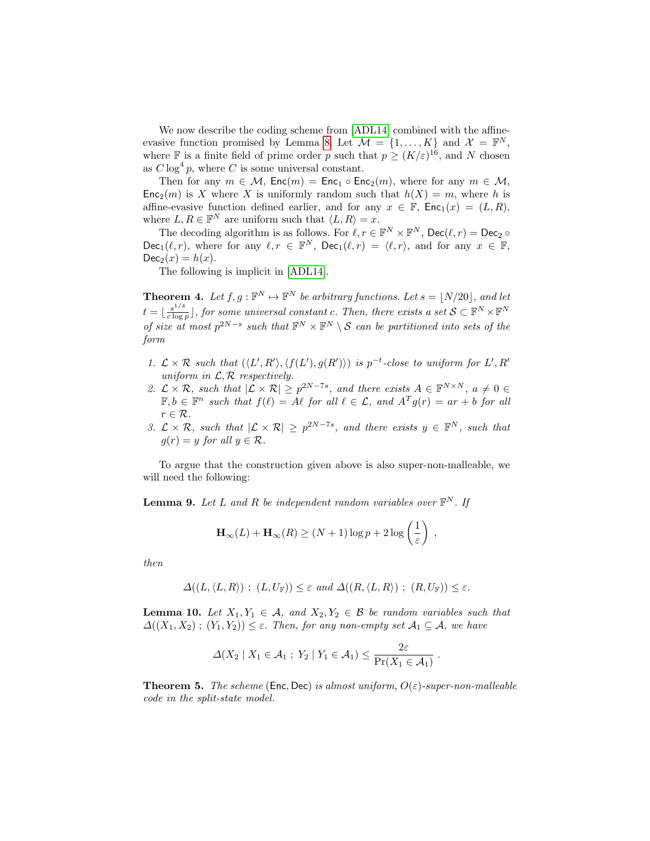We now describe the coding scheme from [\[ADL14\]](#page-22-0) combined with the affine-evasive function promised by Lemma [8.](#page-18-1) Let  $\mathcal{M} = \{1, ..., K\}$  and  $\mathcal{X} = \mathbb{F}^N$ , where F is a finite field of prime order p such that  $p \ge (K/\varepsilon)^{16}$ , and N chosen as  $C \log^4 p$ , where C is some universal constant.

Then for any  $m \in \mathcal{M}$ ,  $Enc(m) = Enc_1 \circ Enc_2(m)$ , where for any  $m \in \mathcal{M}$ ,  $Enc<sub>2</sub>(m)$  is X where X is uniformly random such that  $h(X) = m$ , where h is affine-evasive function defined earlier, and for any  $x \in \mathbb{F}$ ,  $\mathsf{Enc}_1(x) = (L, R)$ , where  $L, R \in \mathbb{F}^N$  are uniform such that  $\langle L, R \rangle = x$ .

The decoding algorithm is as follows. For  $\ell, r \in \mathbb{F}^N \times \mathbb{F}^N$ ,  $\text{Dec}(\ell, r) = \text{Dec}_2 \circ$  $\mathsf{Dec}_1(\ell, r)$ , where for any  $\ell, r \in \mathbb{F}^N$ ,  $\mathsf{Dec}_1(\ell, r) = \langle \ell, r \rangle$ , and for any  $x \in \mathbb{F}$ ,  $Dec_2(x) = h(x)$ .

The following is implicit in [\[ADL14\]](#page-22-0).

<span id="page-19-1"></span>**Theorem 4.** Let  $f, g: \mathbb{F}^N \mapsto \mathbb{F}^N$  be arbitrary functions. Let  $s = |N/20|$ , and let  $t = \left\lfloor \frac{s^{1/4}}{c \log s} \right\rfloor$  $\frac{s^{1/4}}{\cosh \rho}$ , for some universal constant c. Then, there exists a set  $S \subset \mathbb{F}^N \times \mathbb{F}^N$ of size at most  $p^{2N-s}$  such that  $\mathbb{F}^N \times \mathbb{F}^N \setminus \mathcal{S}$  can be partitioned into sets of the form

- 1.  $\mathcal{L} \times \mathcal{R}$  such that  $(\langle L', R' \rangle, \langle f(L'), g(R') \rangle)$  is  $p^{-t}$ -close to uniform for  $L', R'$ uniform in  $\mathcal{L}, \mathcal{R}$  respectively.
- 2.  $\mathcal{L} \times \mathcal{R}$ , such that  $|\mathcal{L} \times \mathcal{R}| \geq p^{2N-7s}$ , and there exists  $A \in \mathbb{F}^{N \times N}$ ,  $a \neq 0$  $\mathbb{F}, b \in \mathbb{F}^n$  such that  $f(\ell) = A\ell$  for all  $\ell \in \mathcal{L}$ , and  $A^T g(r) = ar + b$  for all  $r \in \mathcal{R}$ .
- 3.  $\mathcal{L} \times \mathcal{R}$ , such that  $|\mathcal{L} \times \mathcal{R}| \geq p^{2N-7s}$ , and there exists  $y \in \mathbb{F}^{N}$ , such that  $q(r) = y$  for all  $y \in \mathcal{R}$ .

To argue that the construction given above is also super-non-malleable, we will need the following:

<span id="page-19-3"></span>**Lemma 9.** Let L and R be independent random variables over  $\mathbb{F}^N$ . If

$$
\mathbf{H}_{\infty}(L) + \mathbf{H}_{\infty}(R) \ge (N+1)\log p + 2\log\left(\frac{1}{\varepsilon}\right) ,
$$

then

$$
\Delta((L, \langle L, R \rangle) ; (L, U_{\mathbb{F}})) \leq \varepsilon \text{ and } \Delta((R, \langle L, R \rangle) ; (R, U_{\mathbb{F}})) \leq \varepsilon.
$$

<span id="page-19-2"></span>**Lemma 10.** Let  $X_1, Y_1 \in \mathcal{A}$ , and  $X_2, Y_2 \in \mathcal{B}$  be random variables such that  $\Delta((X_1, X_2)$ ;  $(Y_1, Y_2)) \leq \varepsilon$ . Then, for any non-empty set  $\mathcal{A}_1 \subseteq \mathcal{A}$ , we have

$$
\Delta(X_2 \mid X_1 \in \mathcal{A}_1 ; Y_2 \mid Y_1 \in \mathcal{A}_1) \leq \frac{2\varepsilon}{\Pr(X_1 \in \mathcal{A}_1)}.
$$

<span id="page-19-0"></span>**Theorem 5.** The scheme (Enc, Dec) is almost uniform,  $O(\varepsilon)$ -super-non-malleable code in the split-state model.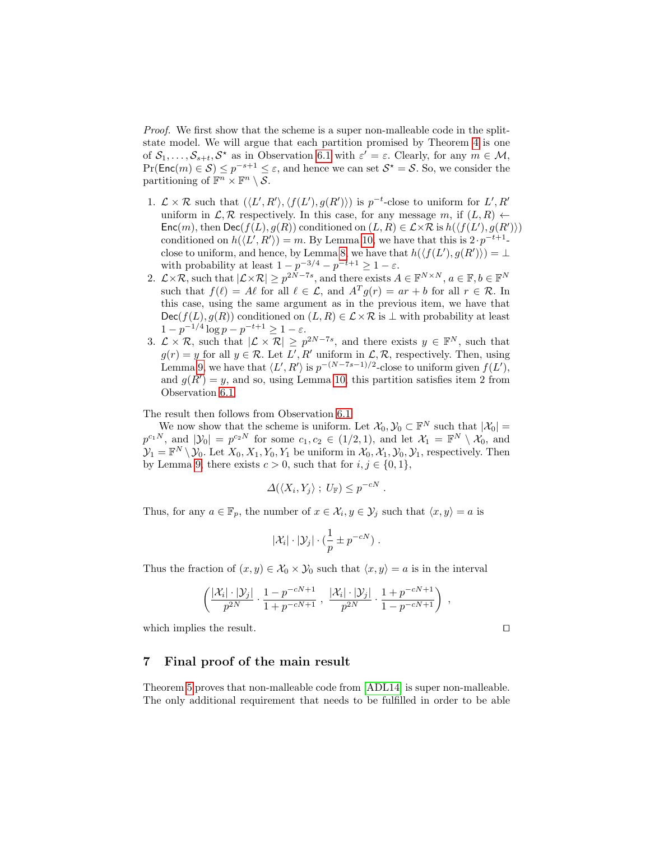Proof. We first show that the scheme is a super non-malleable code in the splitstate model. We will argue that each partition promised by Theorem [4](#page-19-1) is one of  $S_1, \ldots, S_{s+t}, S^*$  as in Observation [6.1](#page-18-2) with  $\varepsilon' = \varepsilon$ . Clearly, for any  $m \in \mathcal{M}$ ,  $Pr(\textsf{Enc}(m) \in \mathcal{S}) \leq p^{-s+1} \leq \varepsilon$ , and hence we can set  $\mathcal{S}^* = \mathcal{S}$ . So, we consider the partitioning of  $\mathbb{F}^n \times \mathbb{F}^n \setminus \mathcal{S}$ .

- 1.  $\mathcal{L} \times \mathcal{R}$  such that  $(\langle L', R' \rangle, \langle f(L'), g(R') \rangle)$  is  $p^{-t}$ -close to uniform for  $L', R'$ uniform in  $\mathcal{L}, \mathcal{R}$  respectively. In this case, for any message m, if  $(L, R)$   $\leftarrow$ Enc $(m)$ , then Dec $(f(L), g(R))$  conditioned on  $(L, R) \in \mathcal{L} \times \mathcal{R}$  is  $h(\langle f(L'), g(R') \rangle)$ conditioned on  $h(\langle L', R' \rangle) = m$ . By Lemma [10,](#page-19-2) we have that this is  $2 \cdot p^{-t+1}$ . close to uniform, and hence, by Lemma [8,](#page-18-1) we have that  $h(\langle f(L'), g(R') \rangle) = \bot$ with probability at least  $1 - p^{-3/4} - p^{-t+1} \geq 1 - \varepsilon$ .
- 2.  $\mathcal{L}\times\mathcal{R}$ , such that  $|\mathcal{L}\times\mathcal{R}| \geq p^{2N-7s}$ , and there exists  $A \in \mathbb{F}^{N\times N}$ ,  $a \in \mathbb{F}$ ,  $b \in \mathbb{F}^N$ such that  $f(\ell) = A\ell$  for all  $\ell \in \mathcal{L}$ , and  $A^T g(r) = ar + b$  for all  $r \in \mathcal{R}$ . In this case, using the same argument as in the previous item, we have that  $Dec(f(L), g(R))$  conditioned on  $(L, R) \in \mathcal{L} \times \mathcal{R}$  is  $\perp$  with probability at least  $1 - p^{-1/4} \log p - p^{-t+1} \ge 1 - \varepsilon.$
- 3.  $\mathcal{L} \times \mathcal{R}$ , such that  $|\mathcal{L} \times \mathcal{R}| \geq p^{2N-7s}$ , and there exists  $y \in \mathbb{F}^{N}$ , such that  $g(r) = y$  for all  $y \in \mathcal{R}$ . Let  $L', R'$  uniform in  $\mathcal{L}, \mathcal{R}$ , respectively. Then, using Lemma [9,](#page-19-3) we have that  $\langle L', R' \rangle$  is  $p^{-(N-7s-1)/2}$ -close to uniform given  $f(L')$ , and  $g(R') = y$ , and so, using Lemma [10,](#page-19-2) this partition satisfies item 2 from Observation [6.1.](#page-18-2)

The result then follows from Observation [6.1.](#page-18-2)

We now show that the scheme is uniform. Let  $\mathcal{X}_0, \mathcal{Y}_0 \subset \mathbb{F}^N$  such that  $|\mathcal{X}_0|$  =  $p^{c_1N}$ , and  $|\mathcal{Y}_0| = p^{c_2N}$  for some  $c_1, c_2 \in (1/2, 1)$ , and let  $\mathcal{X}_1 = \mathbb{F}^N \setminus \mathcal{X}_0$ , and  $\mathcal{Y}_1 = \mathbb{F}^N \setminus \mathcal{Y}_0$ . Let  $X_0, X_1, Y_0, Y_1$  be uniform in  $\mathcal{X}_0, \mathcal{X}_1, \mathcal{Y}_0, \mathcal{Y}_1$ , respectively. Then by Lemma [9,](#page-19-3) there exists  $c > 0$ , such that for  $i, j \in \{0, 1\}$ ,

$$
\Delta(\langle X_i, Y_j \rangle ; U_{\mathbb{F}}) \leq p^{-cN} .
$$

Thus, for any  $a \in \mathbb{F}_p$ , the number of  $x \in \mathcal{X}_i, y \in \mathcal{Y}_j$  such that  $\langle x, y \rangle = a$  is

$$
|\mathcal{X}_i| \cdot |\mathcal{Y}_j| \cdot (\frac{1}{p} \pm p^{-cN}).
$$

Thus the fraction of  $(x, y) \in \mathcal{X}_0 \times \mathcal{Y}_0$  such that  $\langle x, y \rangle = a$  is in the interval

$$
\left(\frac{|\mathcal{X}_i| \cdot |\mathcal{Y}_j|}{p^{2N}} \cdot \frac{1 - p^{-cN+1}}{1 + p^{-cN+1}}, \ \frac{|\mathcal{X}_i| \cdot |\mathcal{Y}_j|}{p^{2N}} \cdot \frac{1 + p^{-cN+1}}{1 - p^{-cN+1}}\right) ,
$$

which implies the result.  $\Box$ 

### 7 Final proof of the main result

Theorem [5](#page-19-0) proves that non-malleable code from [\[ADL14\]](#page-22-0) is super non-malleable. The only additional requirement that needs to be fulfilled in order to be able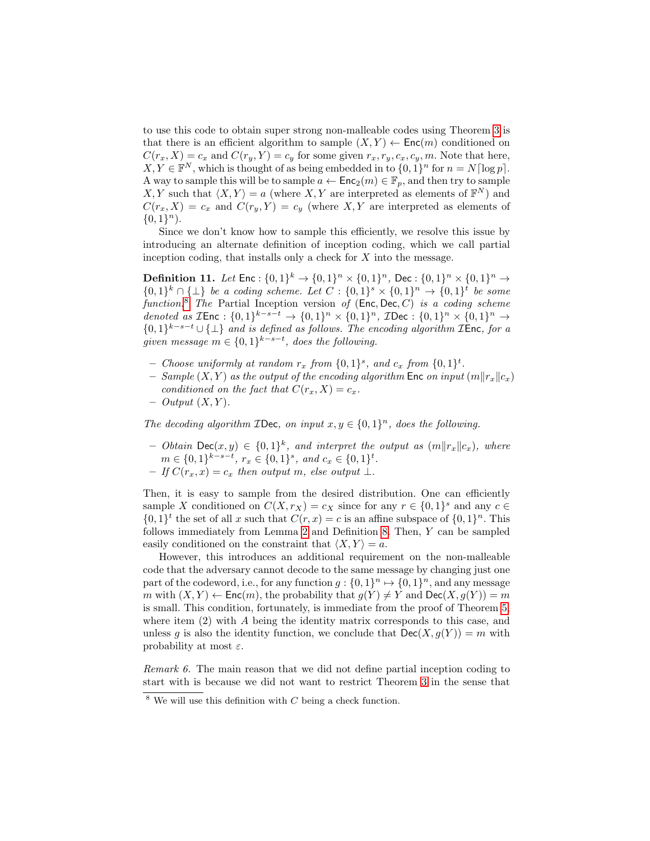to use this code to obtain super strong non-malleable codes using Theorem [3](#page-16-0) is that there is an efficient algorithm to sample  $(X, Y) \leftarrow \mathsf{Enc}(m)$  conditioned on  $C(r_x, X) = c_x$  and  $C(r_y, Y) = c_y$  for some given  $r_x, r_y, c_x, c_y, m$ . Note that here,  $X, Y \in \mathbb{F}^N$ , which is thought of as being embedded in to  $\{0, 1\}^n$  for  $n = N \lceil \log p \rceil$ . A way to sample this will be to sample  $a \leftarrow \mathsf{Enc}_2(m) \in \mathbb{F}_p$ , and then try to sample X, Y such that  $\langle X, Y \rangle = a$  (where X, Y are interpreted as elements of  $\mathbb{F}^N$ ) and  $C(r_x, X) = c_x$  and  $C(r_y, Y) = c_y$  (where X, Y are interpreted as elements of  ${0,1}^n$ .

<span id="page-21-1"></span>Since we don't know how to sample this efficiently, we resolve this issue by introducing an alternate definition of inception coding, which we call partial inception coding, that installs only a check for  $X$  into the message.

**Definition 11.** Let  $\mathsf{Enc} : \{0,1\}^k \to \{0,1\}^n \times \{0,1\}^n$ , Dec:  $\{0,1\}^n \times \{0,1\}^n \to$  $\{0,1\}^k \cap {\{\perp\}}$  be a coding scheme. Let  $C: \{0,1\}^s \times \{0,1\}^n \rightarrow \{0,1\}^t$  be some function.<sup>[8](#page-21-0)</sup> The Partial Inception version of  $(Enc, Dec, C)$  is a coding scheme denoted as  $\mathcal{I}$ Enc :  $\{0,1\}^{k-s-t} \to \{0,1\}^n \times \{0,1\}^n$ ,  $\mathcal{I}$ Dec :  $\{0,1\}^n \times \{0,1\}^n \to$  $\{0,1\}^{k-s-t} \cup \{\perp\}$  and is defined as follows. The encoding algorithm **TEnc**, for a given message  $m \in \{0,1\}^{k-s-t}$ , does the following.

- Choose uniformly at random  $r_x$  from  $\{0,1\}^s$ , and  $c_x$  from  $\{0,1\}^t$ .
- Sample  $(X, Y)$  as the output of the encoding algorithm Enc on input  $(m||r_x||c_x)$ conditioned on the fact that  $C(r_x, X) = c_x$ .
- $-$  Output  $(X, Y)$ .

The decoding algorithm **IDec**, on input  $x, y \in \{0, 1\}^n$ , does the following.

- Obtain Dec $(x, y) \in \{0, 1\}^k$ , and interpret the output as  $(m||r_x||c_x)$ , where  $m \in \{0,1\}^{k-s-t}, r_x \in \{0,1\}^s, \text{ and } c_x \in \{0,1\}^t.$
- $-If C(r_x, x) = c_x$  then output m, else output  $\bot$ .

Then, it is easy to sample from the desired distribution. One can efficiently sample X conditioned on  $C(X, r_X) = c_X$  since for any  $r \in \{0, 1\}^s$  and any  $c \in$  $\{0,1\}^t$  the set of all x such that  $C(r, x) = c$  is an affine subspace of  $\{0,1\}^n$ . This follows immediately from Lemma [2](#page-6-1) and Definition [8.](#page-13-1) Then, Y can be sampled easily conditioned on the constraint that  $\langle X, Y \rangle = a$ .

However, this introduces an additional requirement on the non-malleable code that the adversary cannot decode to the same message by changing just one part of the codeword, i.e., for any function  $g: \{0,1\}^n \mapsto \{0,1\}^n$ , and any message m with  $(X, Y) \leftarrow \mathsf{Enc}(m)$ , the probability that  $g(Y) \neq Y$  and  $\mathsf{Dec}(X, g(Y)) = m$ is small. This condition, fortunately, is immediate from the proof of Theorem [5,](#page-19-0) where item  $(2)$  with A being the identity matrix corresponds to this case, and unless g is also the identity function, we conclude that  $\text{Dec}(X, g(Y)) = m$  with probability at most  $\varepsilon$ .

Remark 6. The main reason that we did not define partial inception coding to start with is because we did not want to restrict Theorem [3](#page-16-0) in the sense that

<span id="page-21-0"></span> $8$  We will use this definition with C being a check function.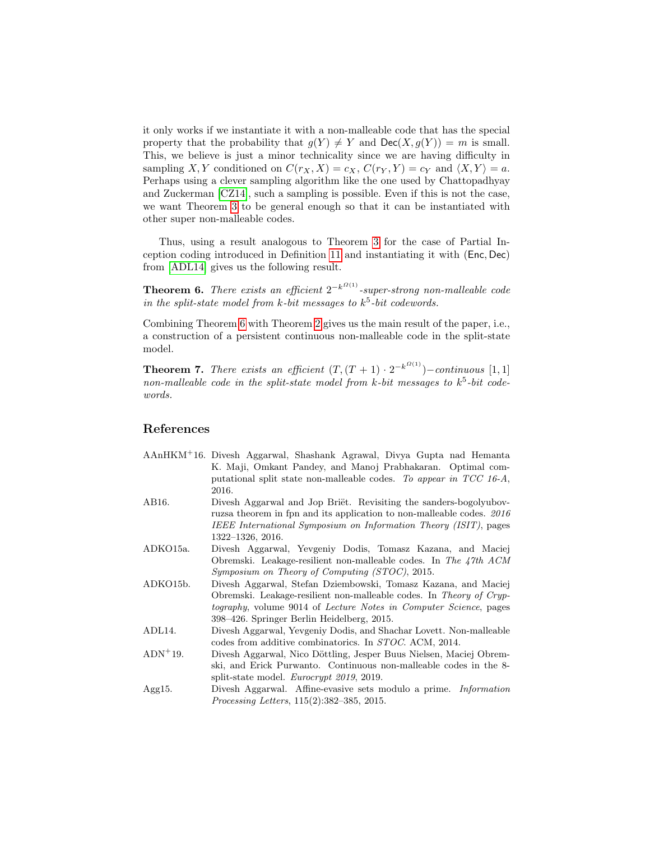it only works if we instantiate it with a non-malleable code that has the special property that the probability that  $g(Y) \neq Y$  and  $\text{Dec}(X, g(Y)) = m$  is small. This, we believe is just a minor technicality since we are having difficulty in sampling X, Y conditioned on  $C(r_X, X) = c_X$ ,  $C(r_Y, Y) = c_Y$  and  $\langle X, Y \rangle = a$ . Perhaps using a clever sampling algorithm like the one used by Chattopadhyay and Zuckerman [\[CZ14\]](#page-23-5), such a sampling is possible. Even if this is not the case, we want Theorem [3](#page-16-0) to be general enough so that it can be instantiated with other super non-malleable codes.

<span id="page-22-7"></span>Thus, using a result analogous to Theorem [3](#page-16-0) for the case of Partial Inception coding introduced in Definition [11](#page-21-1) and instantiating it with (Enc, Dec) from [\[ADL14\]](#page-22-0) gives us the following result.

**Theorem 6.** There exists an efficient  $2^{-k^{O(1)}}$ -super-strong non-malleable code in the split-state model from  $k$ -bit messages to  $k^5$ -bit codewords.

Combining Theorem [6](#page-22-7) with Theorem [2](#page-9-0) gives us the main result of the paper, i.e., a construction of a persistent continuous non-malleable code in the split-state model.

**Theorem 7.** There exists an efficient  $(T,(T+1)\cdot2^{-k^{O(1)}})$  – continuous [1,1] non-malleable code in the split-state model from k-bit messages to  $k^5$ -bit codewords.

## References

- <span id="page-22-5"></span>AAnHKM<sup>+</sup>16. Divesh Aggarwal, Shashank Agrawal, Divya Gupta nad Hemanta K. Maji, Omkant Pandey, and Manoj Prabhakaran. Optimal computational split state non-malleable codes. To appear in TCC 16-A, 2016.
- <span id="page-22-6"></span>AB16. Divesh Aggarwal and Jop Briët. Revisiting the sanders-bogolyubovruzsa theorem in fpn and its application to non-malleable codes. 2016 IEEE International Symposium on Information Theory (ISIT), pages 1322–1326, 2016.
- <span id="page-22-4"></span>ADKO15a. Divesh Aggarwal, Yevgeniy Dodis, Tomasz Kazana, and Maciej Obremski. Leakage-resilient non-malleable codes. In The 47th ACM Symposium on Theory of Computing (STOC), 2015.
- <span id="page-22-3"></span>ADKO15b. Divesh Aggarwal, Stefan Dziembowski, Tomasz Kazana, and Maciej Obremski. Leakage-resilient non-malleable codes. In Theory of Cryptography, volume 9014 of Lecture Notes in Computer Science, pages 398–426. Springer Berlin Heidelberg, 2015.
- <span id="page-22-0"></span>ADL14. Divesh Aggarwal, Yevgeniy Dodis, and Shachar Lovett. Non-malleable codes from additive combinatorics. In STOC. ACM, 2014.
- <span id="page-22-1"></span>ADN<sup>+</sup>19. Divesh Aggarwal, Nico Döttling, Jesper Buus Nielsen, Maciej Obremski, and Erick Purwanto. Continuous non-malleable codes in the 8 split-state model. Eurocrypt 2019, 2019.
- <span id="page-22-2"></span>Agg15. Divesh Aggarwal. Affine-evasive sets modulo a prime. Information Processing Letters, 115(2):382–385, 2015.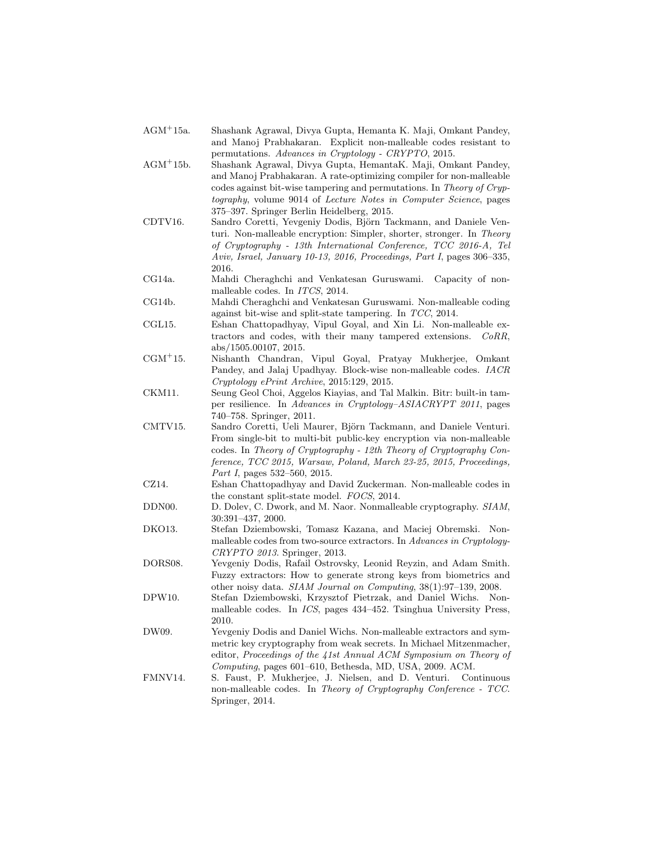- <span id="page-23-8"></span>AGM<sup>+</sup>15a. Shashank Agrawal, Divya Gupta, Hemanta K. Maji, Omkant Pandey, and Manoj Prabhakaran. Explicit non-malleable codes resistant to permutations. Advances in Cryptology - CRYPTO, 2015.
- <span id="page-23-7"></span>AGM<sup>+</sup>15b. Shashank Agrawal, Divya Gupta, HemantaK. Maji, Omkant Pandey, and Manoj Prabhakaran. A rate-optimizing compiler for non-malleable codes against bit-wise tampering and permutations. In Theory of Cryptography, volume 9014 of Lecture Notes in Computer Science, pages 375–397. Springer Berlin Heidelberg, 2015.
- <span id="page-23-13"></span>CDTV16. Sandro Coretti, Yevgeniy Dodis, Björn Tackmann, and Daniele Venturi. Non-malleable encryption: Simpler, shorter, stronger. In Theory of Cryptography - 13th International Conference, TCC 2016-A, Tel Aviv, Israel, January 10-13, 2016, Proceedings, Part I, pages 306–335, 2016.
- <span id="page-23-3"></span>CG14a. Mahdi Cheraghchi and Venkatesan Guruswami. Capacity of nonmalleable codes. In ITCS, 2014.
- <span id="page-23-4"></span>CG14b. Mahdi Cheraghchi and Venkatesan Guruswami. Non-malleable coding against bit-wise and split-state tampering. In TCC, 2014.
- <span id="page-23-6"></span>CGL15. Eshan Chattopadhyay, Vipul Goyal, and Xin Li. Non-malleable extractors and codes, with their many tampered extensions. CoRR, abs/1505.00107, 2015.
- <span id="page-23-14"></span>CGM<sup>+</sup>15. Nishanth Chandran, Vipul Goyal, Pratyay Mukherjee, Omkant Pandey, and Jalaj Upadhyay. Block-wise non-malleable codes. IACR Cryptology ePrint Archive, 2015:129, 2015.
- <span id="page-23-11"></span>CKM11. Seung Geol Choi, Aggelos Kiayias, and Tal Malkin. Bitr: built-in tamper resilience. In Advances in Cryptology–ASIACRYPT 2011, pages 740–758. Springer, 2011.
- <span id="page-23-12"></span>CMTV15. Sandro Coretti, Ueli Maurer, Björn Tackmann, and Daniele Venturi. From single-bit to multi-bit public-key encryption via non-malleable codes. In Theory of Cryptography - 12th Theory of Cryptography Conference, TCC 2015, Warsaw, Poland, March 23-25, 2015, Proceedings, Part I, pages 532–560, 2015.
- <span id="page-23-5"></span>CZ14. Eshan Chattopadhyay and David Zuckerman. Non-malleable codes in the constant split-state model. FOCS, 2014.
- <span id="page-23-9"></span>DDN00. D. Dolev, C. Dwork, and M. Naor. Nonmalleable cryptography. SIAM, 30:391–437, 2000.
- <span id="page-23-1"></span>DKO13. Stefan Dziembowski, Tomasz Kazana, and Maciej Obremski. Nonmalleable codes from two-source extractors. In Advances in Cryptology-CRYPTO 2013. Springer, 2013.
- <span id="page-23-15"></span>DORS08. Yevgeniy Dodis, Rafail Ostrovsky, Leonid Reyzin, and Adam Smith. Fuzzy extractors: How to generate strong keys from biometrics and other noisy data. SIAM Journal on Computing, 38(1):97–139, 2008.
- <span id="page-23-0"></span>DPW10. Stefan Dziembowski, Krzysztof Pietrzak, and Daniel Wichs. Nonmalleable codes. In ICS, pages 434–452. Tsinghua University Press, 2010.
- <span id="page-23-10"></span>DW09. Yevgeniy Dodis and Daniel Wichs. Non-malleable extractors and symmetric key cryptography from weak secrets. In Michael Mitzenmacher, editor, Proceedings of the 41st Annual ACM Symposium on Theory of Computing, pages 601–610, Bethesda, MD, USA, 2009. ACM.
- <span id="page-23-2"></span>FMNV14. S. Faust, P. Mukherjee, J. Nielsen, and D. Venturi. Continuous non-malleable codes. In Theory of Cryptography Conference - TCC. Springer, 2014.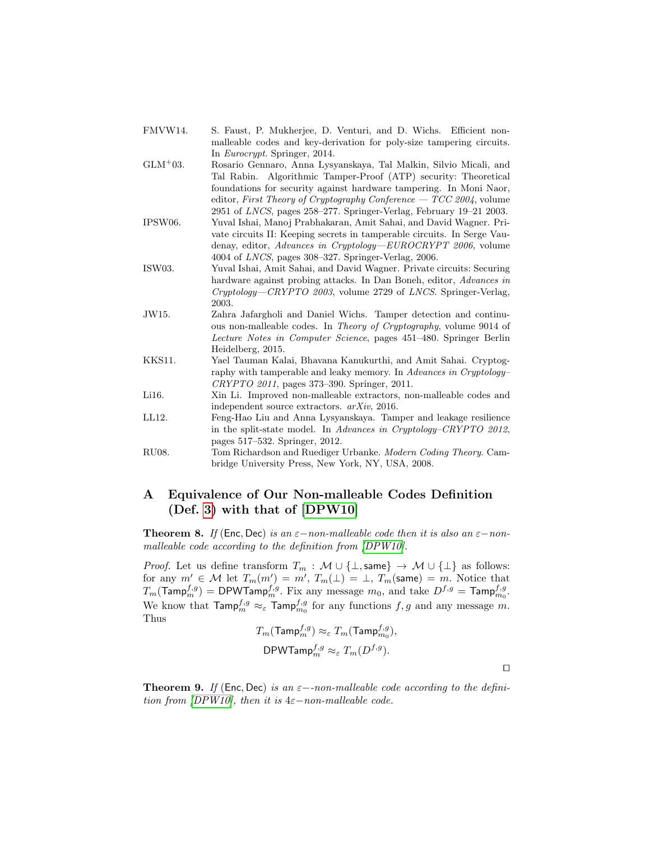- <span id="page-24-1"></span>FMVW14. S. Faust, P. Mukherjee, D. Venturi, and D. Wichs. Efficient nonmalleable codes and key-derivation for poly-size tampering circuits. In Eurocrypt. Springer, 2014.
- <span id="page-24-5"></span>GLM<sup>+</sup>03. Rosario Gennaro, Anna Lysyanskaya, Tal Malkin, Silvio Micali, and Tal Rabin. Algorithmic Tamper-Proof (ATP) security: Theoretical foundations for security against hardware tampering. In Moni Naor, editor, First Theory of Cryptography Conference  $-TCC$  2004, volume 2951 of LNCS, pages 258–277. Springer-Verlag, February 19–21 2003.
- <span id="page-24-6"></span>IPSW06. Yuval Ishai, Manoj Prabhakaran, Amit Sahai, and David Wagner. Private circuits II: Keeping secrets in tamperable circuits. In Serge Vaudenay, editor, Advances in Cryptology—EUROCRYPT 2006, volume 4004 of LNCS, pages 308–327. Springer-Verlag, 2006.
- <span id="page-24-4"></span>ISW03. Yuval Ishai, Amit Sahai, and David Wagner. Private circuits: Securing hardware against probing attacks. In Dan Boneh, editor, Advances in Cryptology—CRYPTO 2003, volume 2729 of LNCS. Springer-Verlag, 2003.
- <span id="page-24-3"></span>JW15. Zahra Jafargholi and Daniel Wichs. Tamper detection and continuous non-malleable codes. In Theory of Cryptography, volume 9014 of Lecture Notes in Computer Science, pages 451–480. Springer Berlin Heidelberg, 2015.
- <span id="page-24-7"></span>KKS11. Yael Tauman Kalai, Bhavana Kanukurthi, and Amit Sahai. Cryptography with tamperable and leaky memory. In Advances in Cryptology– CRYPTO 2011, pages 373–390. Springer, 2011.
- <span id="page-24-2"></span>Li16. Xin Li. Improved non-malleable extractors, non-malleable codes and independent source extractors. arXiv, 2016.
- <span id="page-24-0"></span>LL12. Feng-Hao Liu and Anna Lysyanskaya. Tamper and leakage resilience in the split-state model. In Advances in Cryptology–CRYPTO 2012, pages 517–532. Springer, 2012.
- <span id="page-24-8"></span>RU08. Tom Richardson and Ruediger Urbanke. Modern Coding Theory. Cambridge University Press, New York, NY, USA, 2008.

## <span id="page-24-9"></span>A Equivalence of Our Non-malleable Codes Definition (Def. [3\)](#page-7-1) with that of [\[DPW10\]](#page-23-0)

<span id="page-24-10"></span>**Theorem 8.** If (Enc, Dec) is an  $\varepsilon$ -non-malleable code then it is also an  $\varepsilon$ -nonmalleable code according to the definition from [\[DPW10\]](#page-23-0).

*Proof.* Let us define transform  $T_m$  :  $\mathcal{M} \cup \{\perp, \textsf{same}\} \rightarrow \mathcal{M} \cup \{\perp\}$  as follows: for any  $m' \in \mathcal{M}$  let  $T_m(m') = m'$ ,  $T_m(\perp) = \perp$ ,  $T_m(\text{same}) = m$ . Notice that  $T_m(\mathsf{Tamp}_m^{f,g}) = \mathsf{DPWTamp}_m^{f,g}.$  Fix any message  $m_0,$  and take  $D^{f,g} = \mathsf{Tamp}_m^{f,g}.$ We know that  $\textsf{Tamp}_m^{f,g} \approx_{\varepsilon} \textsf{Tamp}_{m_0}^{f,g}$  for any functions  $f, g$  and any message m. Thus

$$
T_m(\textsf{Tamp}_m^{f,g})\approx_{\varepsilon} T_m(\textsf{Tamp}_{m_0}^{f,g}),
$$
  
DPW
$$
\textsf{DPWTamp}_m^{f,g}\approx_{\varepsilon} T_m(D^{f,g}).
$$

 $\Box$ 

**Theorem 9.** If (Enc, Dec) is an  $\varepsilon$ --non-malleable code according to the definition from  $[DPW10]$ , then it is 4 $\varepsilon$ -non-malleable code.